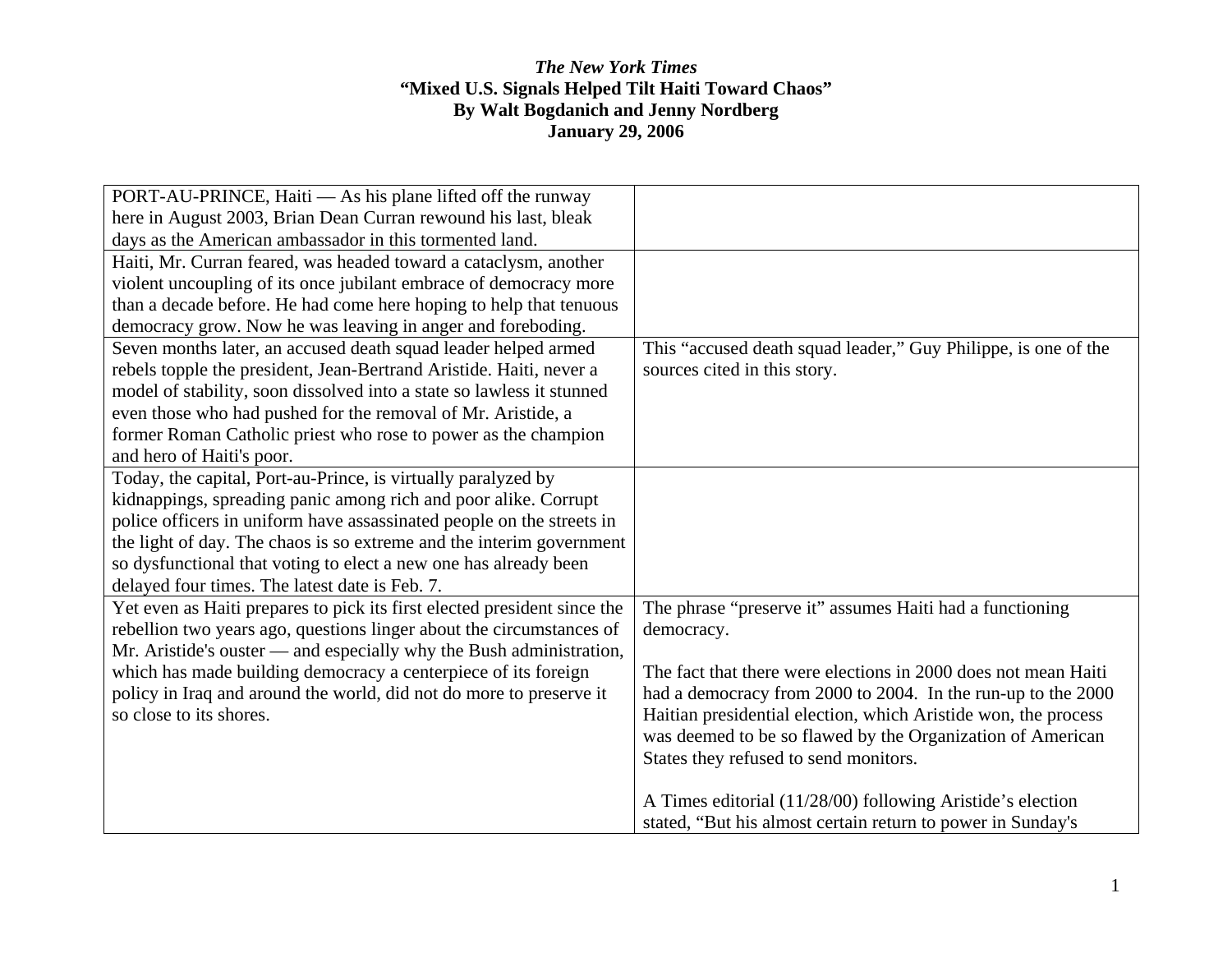## *The New York Times*  **"Mixed U.S. Signals Helped Tilt Haiti Toward Chaos" By Walt Bogdanich and Jenny Nordberg January 29, 2006**

| PORT-AU-PRINCE, Haiti — As his plane lifted off the runway               |                                                                |
|--------------------------------------------------------------------------|----------------------------------------------------------------|
| here in August 2003, Brian Dean Curran rewound his last, bleak           |                                                                |
| days as the American ambassador in this tormented land.                  |                                                                |
| Haiti, Mr. Curran feared, was headed toward a cataclysm, another         |                                                                |
| violent uncoupling of its once jubilant embrace of democracy more        |                                                                |
| than a decade before. He had come here hoping to help that tenuous       |                                                                |
| democracy grow. Now he was leaving in anger and foreboding.              |                                                                |
| Seven months later, an accused death squad leader helped armed           | This "accused death squad leader," Guy Philippe, is one of the |
| rebels topple the president, Jean-Bertrand Aristide. Haiti, never a      | sources cited in this story.                                   |
| model of stability, soon dissolved into a state so lawless it stunned    |                                                                |
| even those who had pushed for the removal of Mr. Aristide, a             |                                                                |
| former Roman Catholic priest who rose to power as the champion           |                                                                |
| and hero of Haiti's poor.                                                |                                                                |
| Today, the capital, Port-au-Prince, is virtually paralyzed by            |                                                                |
| kidnappings, spreading panic among rich and poor alike. Corrupt          |                                                                |
| police officers in uniform have assassinated people on the streets in    |                                                                |
| the light of day. The chaos is so extreme and the interim government     |                                                                |
| so dysfunctional that voting to elect a new one has already been         |                                                                |
| delayed four times. The latest date is Feb. 7.                           |                                                                |
| Yet even as Haiti prepares to pick its first elected president since the | The phrase "preserve it" assumes Haiti had a functioning       |
| rebellion two years ago, questions linger about the circumstances of     | democracy.                                                     |
| Mr. Aristide's ouster — and especially why the Bush administration,      |                                                                |
| which has made building democracy a centerpiece of its foreign           | The fact that there were elections in 2000 does not mean Haiti |
| policy in Iraq and around the world, did not do more to preserve it      | had a democracy from 2000 to 2004. In the run-up to the 2000   |
| so close to its shores.                                                  | Haitian presidential election, which Aristide won, the process |
|                                                                          | was deemed to be so flawed by the Organization of American     |
|                                                                          | States they refused to send monitors.                          |
|                                                                          | A Times editorial (11/28/00) following Aristide's election     |
|                                                                          | stated, "But his almost certain return to power in Sunday's    |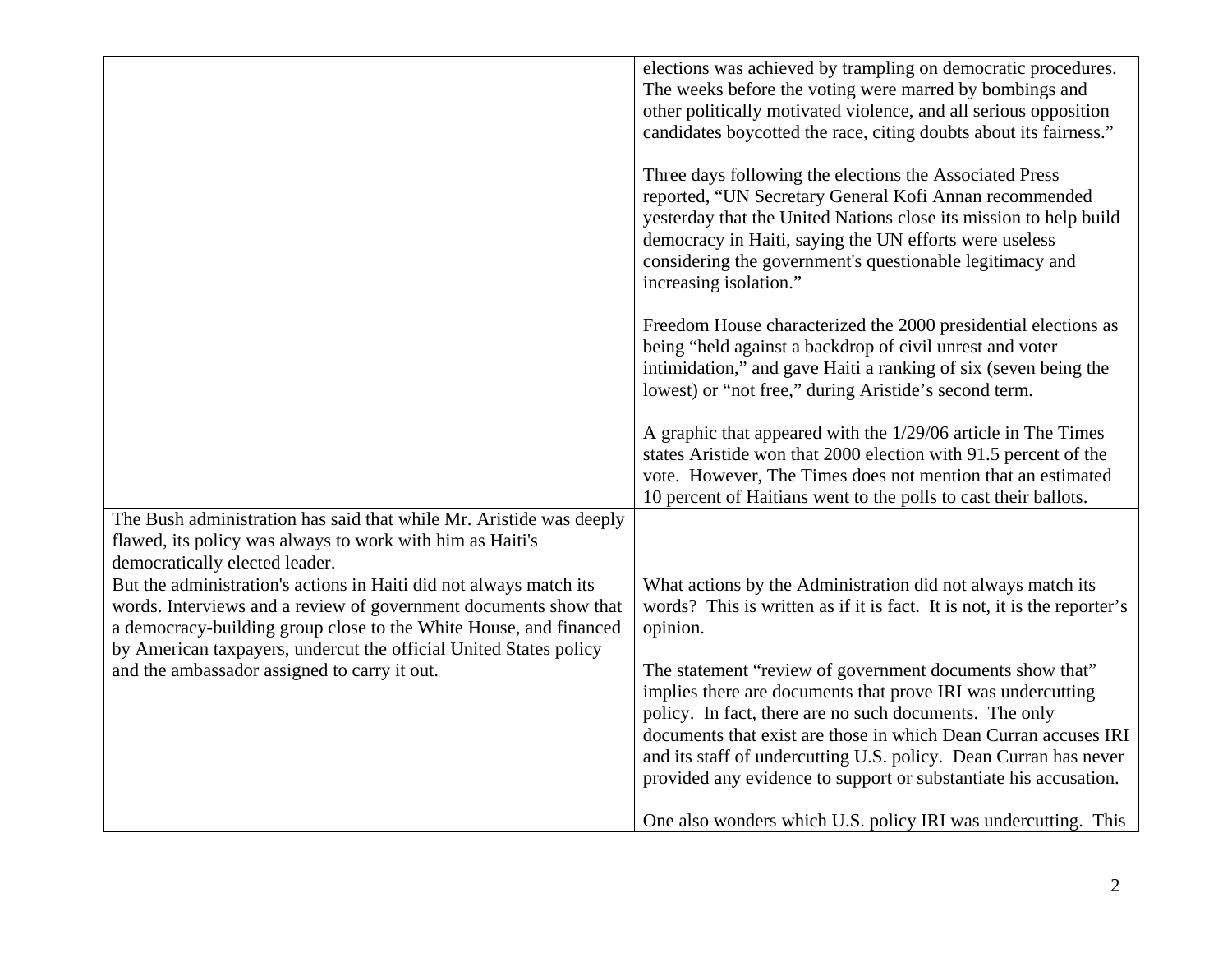|                                                                                                                                                                                                                                                                                  | elections was achieved by trampling on democratic procedures.<br>The weeks before the voting were marred by bombings and<br>other politically motivated violence, and all serious opposition<br>candidates boycotted the race, citing doubts about its fairness."                                                                                                                            |
|----------------------------------------------------------------------------------------------------------------------------------------------------------------------------------------------------------------------------------------------------------------------------------|----------------------------------------------------------------------------------------------------------------------------------------------------------------------------------------------------------------------------------------------------------------------------------------------------------------------------------------------------------------------------------------------|
|                                                                                                                                                                                                                                                                                  | Three days following the elections the Associated Press<br>reported, "UN Secretary General Kofi Annan recommended<br>yesterday that the United Nations close its mission to help build<br>democracy in Haiti, saying the UN efforts were useless<br>considering the government's questionable legitimacy and<br>increasing isolation."                                                       |
|                                                                                                                                                                                                                                                                                  | Freedom House characterized the 2000 presidential elections as<br>being "held against a backdrop of civil unrest and voter<br>intimidation," and gave Haiti a ranking of six (seven being the<br>lowest) or "not free," during Aristide's second term.                                                                                                                                       |
|                                                                                                                                                                                                                                                                                  | A graphic that appeared with the 1/29/06 article in The Times<br>states Aristide won that 2000 election with 91.5 percent of the<br>vote. However, The Times does not mention that an estimated<br>10 percent of Haitians went to the polls to cast their ballots.                                                                                                                           |
| The Bush administration has said that while Mr. Aristide was deeply<br>flawed, its policy was always to work with him as Haiti's<br>democratically elected leader.                                                                                                               |                                                                                                                                                                                                                                                                                                                                                                                              |
| But the administration's actions in Haiti did not always match its<br>words. Interviews and a review of government documents show that<br>a democracy-building group close to the White House, and financed<br>by American taxpayers, undercut the official United States policy | What actions by the Administration did not always match its<br>words? This is written as if it is fact. It is not, it is the reporter's<br>opinion.                                                                                                                                                                                                                                          |
| and the ambassador assigned to carry it out.                                                                                                                                                                                                                                     | The statement "review of government documents show that"<br>implies there are documents that prove IRI was undercutting<br>policy. In fact, there are no such documents. The only<br>documents that exist are those in which Dean Curran accuses IRI<br>and its staff of undercutting U.S. policy. Dean Curran has never<br>provided any evidence to support or substantiate his accusation. |
|                                                                                                                                                                                                                                                                                  | One also wonders which U.S. policy IRI was undercutting. This                                                                                                                                                                                                                                                                                                                                |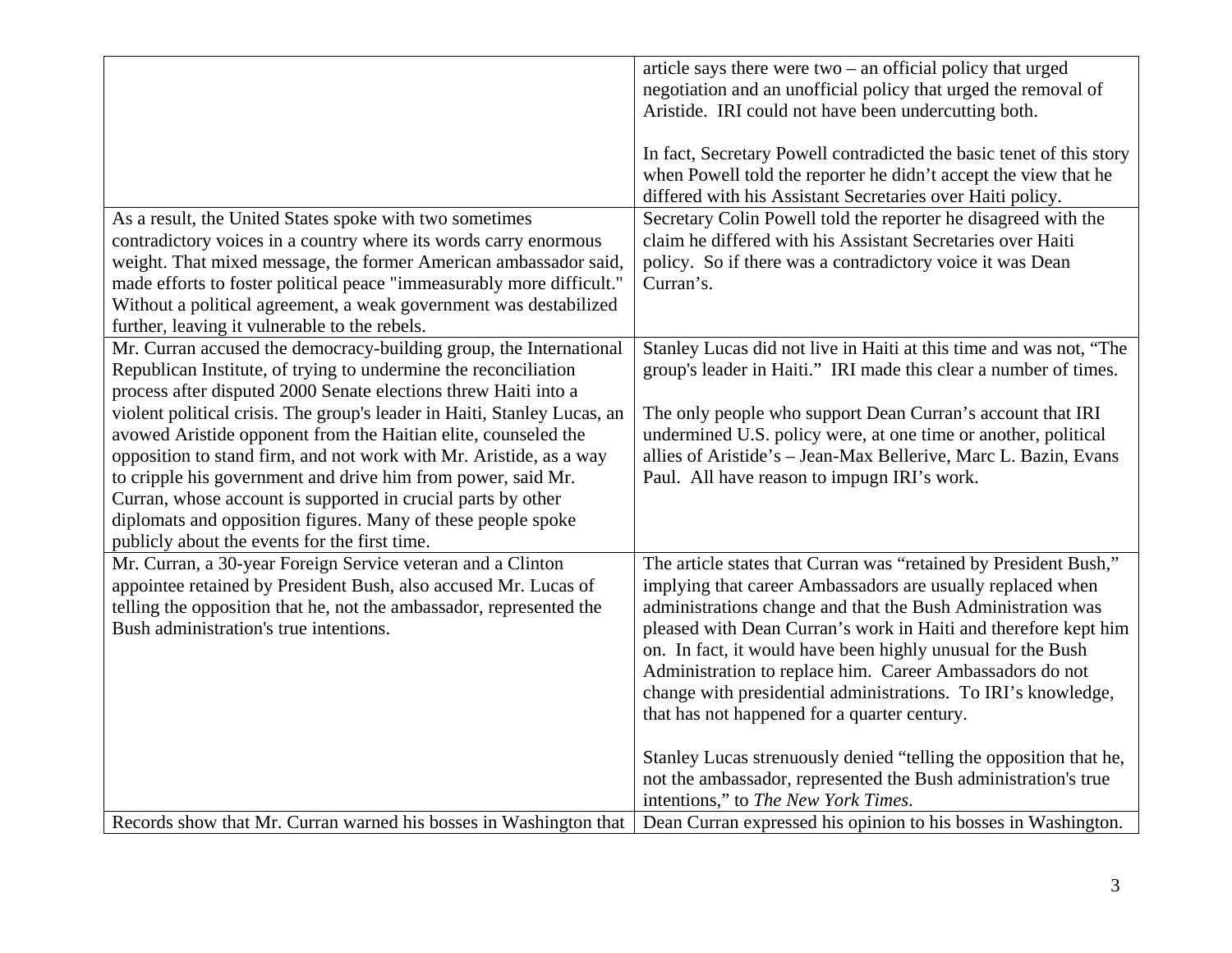|                                                                                                                                                                                                                                                                                                                                                                                                                                                                                                                                      | article says there were two $-$ an official policy that urged<br>negotiation and an unofficial policy that urged the removal of<br>Aristide. IRI could not have been undercutting both.                                                                                                                                                                                                                                                                                                                      |
|--------------------------------------------------------------------------------------------------------------------------------------------------------------------------------------------------------------------------------------------------------------------------------------------------------------------------------------------------------------------------------------------------------------------------------------------------------------------------------------------------------------------------------------|--------------------------------------------------------------------------------------------------------------------------------------------------------------------------------------------------------------------------------------------------------------------------------------------------------------------------------------------------------------------------------------------------------------------------------------------------------------------------------------------------------------|
|                                                                                                                                                                                                                                                                                                                                                                                                                                                                                                                                      | In fact, Secretary Powell contradicted the basic tenet of this story<br>when Powell told the reporter he didn't accept the view that he<br>differed with his Assistant Secretaries over Haiti policy.                                                                                                                                                                                                                                                                                                        |
| As a result, the United States spoke with two sometimes<br>contradictory voices in a country where its words carry enormous<br>weight. That mixed message, the former American ambassador said,<br>made efforts to foster political peace "immeasurably more difficult."<br>Without a political agreement, a weak government was destabilized                                                                                                                                                                                        | Secretary Colin Powell told the reporter he disagreed with the<br>claim he differed with his Assistant Secretaries over Haiti<br>policy. So if there was a contradictory voice it was Dean<br>Curran's.                                                                                                                                                                                                                                                                                                      |
| further, leaving it vulnerable to the rebels.<br>Mr. Curran accused the democracy-building group, the International<br>Republican Institute, of trying to undermine the reconciliation                                                                                                                                                                                                                                                                                                                                               | Stanley Lucas did not live in Haiti at this time and was not, "The<br>group's leader in Haiti." IRI made this clear a number of times.                                                                                                                                                                                                                                                                                                                                                                       |
| process after disputed 2000 Senate elections threw Haiti into a<br>violent political crisis. The group's leader in Haiti, Stanley Lucas, an<br>avowed Aristide opponent from the Haitian elite, counseled the<br>opposition to stand firm, and not work with Mr. Aristide, as a way<br>to cripple his government and drive him from power, said Mr.<br>Curran, whose account is supported in crucial parts by other<br>diplomats and opposition figures. Many of these people spoke<br>publicly about the events for the first time. | The only people who support Dean Curran's account that IRI<br>undermined U.S. policy were, at one time or another, political<br>allies of Aristide's - Jean-Max Bellerive, Marc L. Bazin, Evans<br>Paul. All have reason to impugn IRI's work.                                                                                                                                                                                                                                                               |
| Mr. Curran, a 30-year Foreign Service veteran and a Clinton<br>appointee retained by President Bush, also accused Mr. Lucas of<br>telling the opposition that he, not the ambassador, represented the<br>Bush administration's true intentions.                                                                                                                                                                                                                                                                                      | The article states that Curran was "retained by President Bush,"<br>implying that career Ambassadors are usually replaced when<br>administrations change and that the Bush Administration was<br>pleased with Dean Curran's work in Haiti and therefore kept him<br>on. In fact, it would have been highly unusual for the Bush<br>Administration to replace him. Career Ambassadors do not<br>change with presidential administrations. To IRI's knowledge,<br>that has not happened for a quarter century. |
|                                                                                                                                                                                                                                                                                                                                                                                                                                                                                                                                      | Stanley Lucas strenuously denied "telling the opposition that he,<br>not the ambassador, represented the Bush administration's true<br>intentions," to The New York Times.                                                                                                                                                                                                                                                                                                                                   |
| Records show that Mr. Curran warned his bosses in Washington that                                                                                                                                                                                                                                                                                                                                                                                                                                                                    | Dean Curran expressed his opinion to his bosses in Washington.                                                                                                                                                                                                                                                                                                                                                                                                                                               |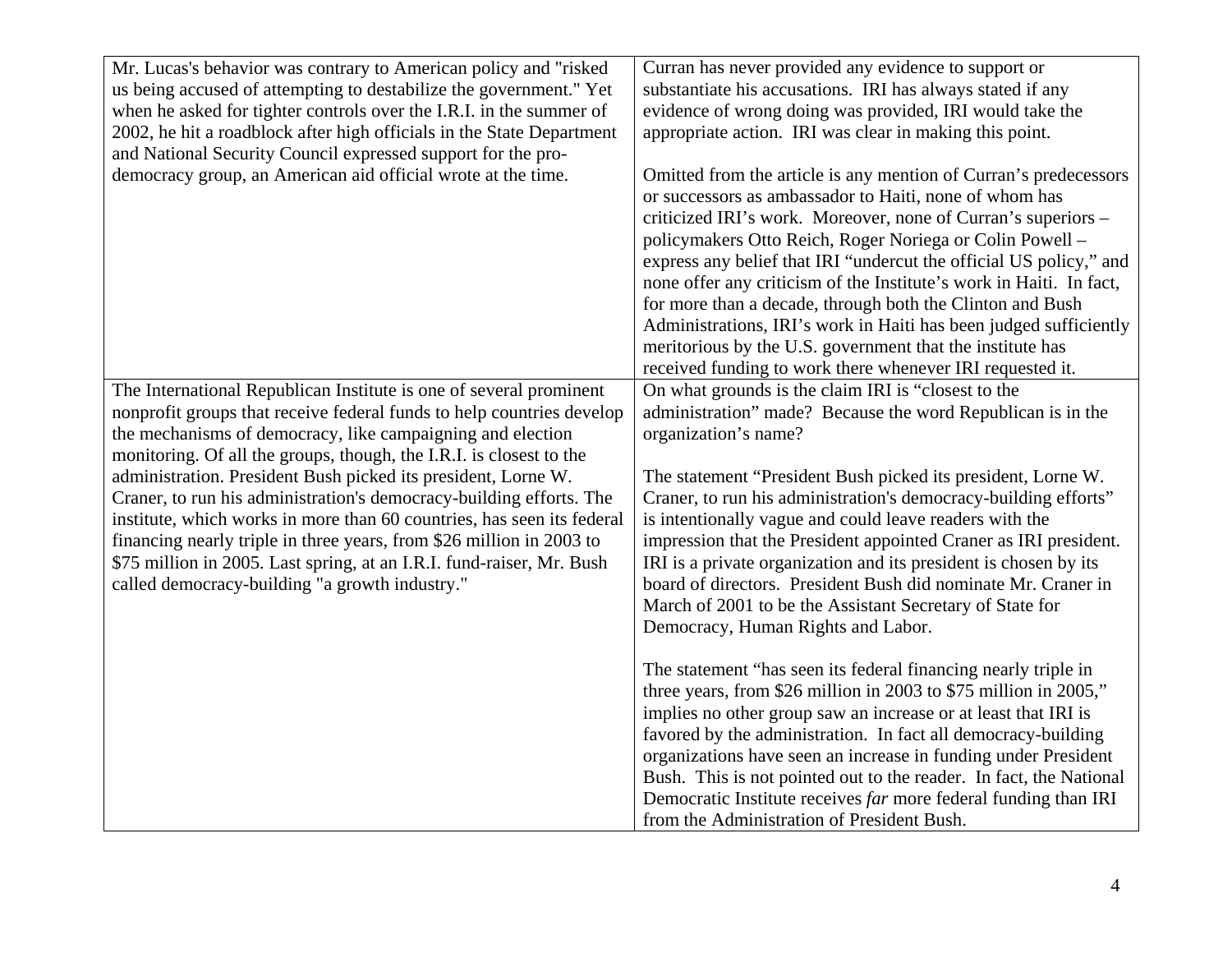| Mr. Lucas's behavior was contrary to American policy and "risked       | Curran has never provided any evidence to support or                                                                                                                                                                                                                                                                                                                                                                                                                                                                                                                                                                                                             |
|------------------------------------------------------------------------|------------------------------------------------------------------------------------------------------------------------------------------------------------------------------------------------------------------------------------------------------------------------------------------------------------------------------------------------------------------------------------------------------------------------------------------------------------------------------------------------------------------------------------------------------------------------------------------------------------------------------------------------------------------|
| us being accused of attempting to destabilize the government." Yet     | substantiate his accusations. IRI has always stated if any                                                                                                                                                                                                                                                                                                                                                                                                                                                                                                                                                                                                       |
| when he asked for tighter controls over the I.R.I. in the summer of    | evidence of wrong doing was provided, IRI would take the                                                                                                                                                                                                                                                                                                                                                                                                                                                                                                                                                                                                         |
| 2002, he hit a roadblock after high officials in the State Department  | appropriate action. IRI was clear in making this point.                                                                                                                                                                                                                                                                                                                                                                                                                                                                                                                                                                                                          |
| and National Security Council expressed support for the pro-           |                                                                                                                                                                                                                                                                                                                                                                                                                                                                                                                                                                                                                                                                  |
| democracy group, an American aid official wrote at the time.           | Omitted from the article is any mention of Curran's predecessors<br>or successors as ambassador to Haiti, none of whom has<br>criticized IRI's work. Moreover, none of Curran's superiors -<br>policymakers Otto Reich, Roger Noriega or Colin Powell -<br>express any belief that IRI "undercut the official US policy," and<br>none offer any criticism of the Institute's work in Haiti. In fact,<br>for more than a decade, through both the Clinton and Bush<br>Administrations, IRI's work in Haiti has been judged sufficiently<br>meritorious by the U.S. government that the institute has<br>received funding to work there whenever IRI requested it. |
| The International Republican Institute is one of several prominent     | On what grounds is the claim IRI is "closest to the                                                                                                                                                                                                                                                                                                                                                                                                                                                                                                                                                                                                              |
| nonprofit groups that receive federal funds to help countries develop  | administration" made? Because the word Republican is in the                                                                                                                                                                                                                                                                                                                                                                                                                                                                                                                                                                                                      |
| the mechanisms of democracy, like campaigning and election             | organization's name?                                                                                                                                                                                                                                                                                                                                                                                                                                                                                                                                                                                                                                             |
| monitoring. Of all the groups, though, the I.R.I. is closest to the    |                                                                                                                                                                                                                                                                                                                                                                                                                                                                                                                                                                                                                                                                  |
| administration. President Bush picked its president, Lorne W.          | The statement "President Bush picked its president, Lorne W.                                                                                                                                                                                                                                                                                                                                                                                                                                                                                                                                                                                                     |
| Craner, to run his administration's democracy-building efforts. The    | Craner, to run his administration's democracy-building efforts"                                                                                                                                                                                                                                                                                                                                                                                                                                                                                                                                                                                                  |
| institute, which works in more than 60 countries, has seen its federal | is intentionally vague and could leave readers with the                                                                                                                                                                                                                                                                                                                                                                                                                                                                                                                                                                                                          |
| financing nearly triple in three years, from \$26 million in 2003 to   | impression that the President appointed Craner as IRI president.                                                                                                                                                                                                                                                                                                                                                                                                                                                                                                                                                                                                 |
| \$75 million in 2005. Last spring, at an I.R.I. fund-raiser, Mr. Bush  | IRI is a private organization and its president is chosen by its                                                                                                                                                                                                                                                                                                                                                                                                                                                                                                                                                                                                 |
| called democracy-building "a growth industry."                         | board of directors. President Bush did nominate Mr. Craner in                                                                                                                                                                                                                                                                                                                                                                                                                                                                                                                                                                                                    |
|                                                                        | March of 2001 to be the Assistant Secretary of State for                                                                                                                                                                                                                                                                                                                                                                                                                                                                                                                                                                                                         |
|                                                                        | Democracy, Human Rights and Labor.                                                                                                                                                                                                                                                                                                                                                                                                                                                                                                                                                                                                                               |
|                                                                        |                                                                                                                                                                                                                                                                                                                                                                                                                                                                                                                                                                                                                                                                  |
|                                                                        | The statement "has seen its federal financing nearly triple in                                                                                                                                                                                                                                                                                                                                                                                                                                                                                                                                                                                                   |
|                                                                        | three years, from \$26 million in 2003 to \$75 million in 2005,"                                                                                                                                                                                                                                                                                                                                                                                                                                                                                                                                                                                                 |
|                                                                        | implies no other group saw an increase or at least that IRI is                                                                                                                                                                                                                                                                                                                                                                                                                                                                                                                                                                                                   |
|                                                                        | favored by the administration. In fact all democracy-building                                                                                                                                                                                                                                                                                                                                                                                                                                                                                                                                                                                                    |
|                                                                        | organizations have seen an increase in funding under President                                                                                                                                                                                                                                                                                                                                                                                                                                                                                                                                                                                                   |
|                                                                        | Bush. This is not pointed out to the reader. In fact, the National                                                                                                                                                                                                                                                                                                                                                                                                                                                                                                                                                                                               |
|                                                                        | Democratic Institute receives far more federal funding than IRI                                                                                                                                                                                                                                                                                                                                                                                                                                                                                                                                                                                                  |
|                                                                        | from the Administration of President Bush.                                                                                                                                                                                                                                                                                                                                                                                                                                                                                                                                                                                                                       |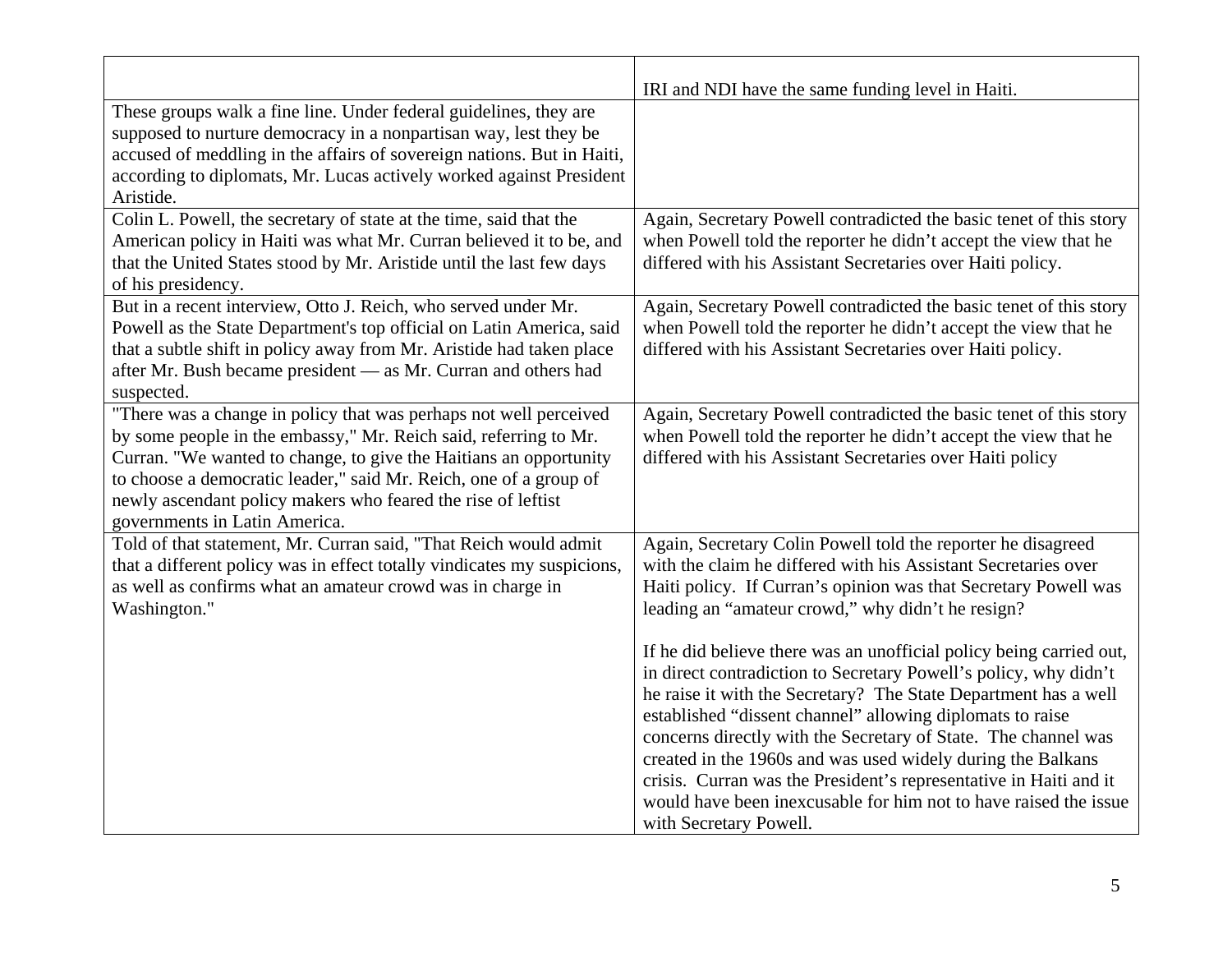|                                                                                                                                                                                                                                                                                                                                                                                  | IRI and NDI have the same funding level in Haiti.                                                                                                                                                                                                                                                                                                                                                                                                                                                                                                                           |
|----------------------------------------------------------------------------------------------------------------------------------------------------------------------------------------------------------------------------------------------------------------------------------------------------------------------------------------------------------------------------------|-----------------------------------------------------------------------------------------------------------------------------------------------------------------------------------------------------------------------------------------------------------------------------------------------------------------------------------------------------------------------------------------------------------------------------------------------------------------------------------------------------------------------------------------------------------------------------|
| These groups walk a fine line. Under federal guidelines, they are<br>supposed to nurture democracy in a nonpartisan way, lest they be<br>accused of meddling in the affairs of sovereign nations. But in Haiti,<br>according to diplomats, Mr. Lucas actively worked against President<br>Aristide.                                                                              |                                                                                                                                                                                                                                                                                                                                                                                                                                                                                                                                                                             |
| Colin L. Powell, the secretary of state at the time, said that the<br>American policy in Haiti was what Mr. Curran believed it to be, and<br>that the United States stood by Mr. Aristide until the last few days<br>of his presidency.                                                                                                                                          | Again, Secretary Powell contradicted the basic tenet of this story<br>when Powell told the reporter he didn't accept the view that he<br>differed with his Assistant Secretaries over Haiti policy.                                                                                                                                                                                                                                                                                                                                                                         |
| But in a recent interview, Otto J. Reich, who served under Mr.<br>Powell as the State Department's top official on Latin America, said<br>that a subtle shift in policy away from Mr. Aristide had taken place<br>after Mr. Bush became president - as Mr. Curran and others had<br>suspected.                                                                                   | Again, Secretary Powell contradicted the basic tenet of this story<br>when Powell told the reporter he didn't accept the view that he<br>differed with his Assistant Secretaries over Haiti policy.                                                                                                                                                                                                                                                                                                                                                                         |
| "There was a change in policy that was perhaps not well perceived<br>by some people in the embassy," Mr. Reich said, referring to Mr.<br>Curran. "We wanted to change, to give the Haitians an opportunity<br>to choose a democratic leader," said Mr. Reich, one of a group of<br>newly ascendant policy makers who feared the rise of leftist<br>governments in Latin America. | Again, Secretary Powell contradicted the basic tenet of this story<br>when Powell told the reporter he didn't accept the view that he<br>differed with his Assistant Secretaries over Haiti policy                                                                                                                                                                                                                                                                                                                                                                          |
| Told of that statement, Mr. Curran said, "That Reich would admit<br>that a different policy was in effect totally vindicates my suspicions,<br>as well as confirms what an amateur crowd was in charge in<br>Washington."                                                                                                                                                        | Again, Secretary Colin Powell told the reporter he disagreed<br>with the claim he differed with his Assistant Secretaries over<br>Haiti policy. If Curran's opinion was that Secretary Powell was<br>leading an "amateur crowd," why didn't he resign?                                                                                                                                                                                                                                                                                                                      |
|                                                                                                                                                                                                                                                                                                                                                                                  | If he did believe there was an unofficial policy being carried out,<br>in direct contradiction to Secretary Powell's policy, why didn't<br>he raise it with the Secretary? The State Department has a well<br>established "dissent channel" allowing diplomats to raise<br>concerns directly with the Secretary of State. The channel was<br>created in the 1960s and was used widely during the Balkans<br>crisis. Curran was the President's representative in Haiti and it<br>would have been inexcusable for him not to have raised the issue<br>with Secretary Powell. |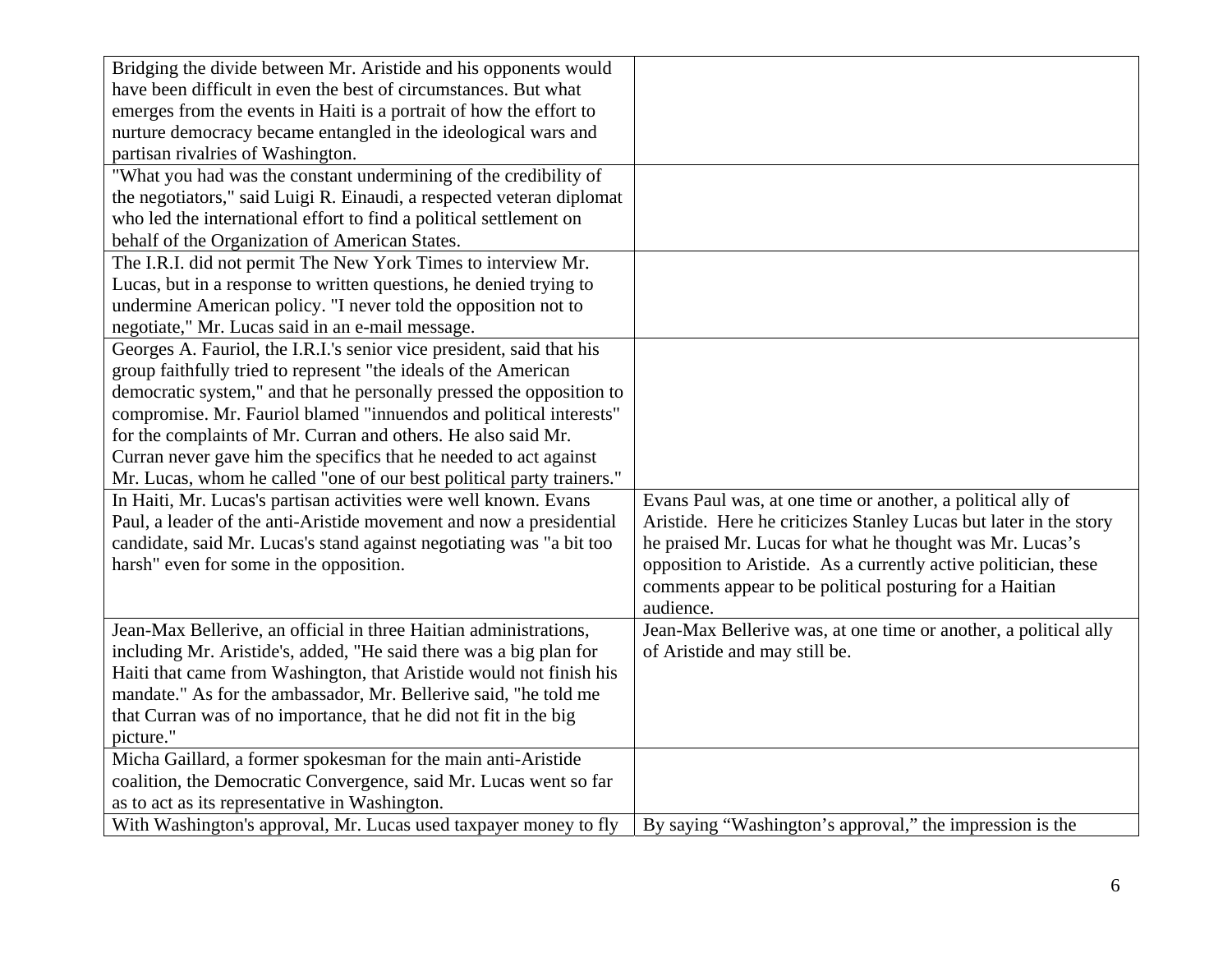| Bridging the divide between Mr. Aristide and his opponents would      |                                                                   |
|-----------------------------------------------------------------------|-------------------------------------------------------------------|
| have been difficult in even the best of circumstances. But what       |                                                                   |
| emerges from the events in Haiti is a portrait of how the effort to   |                                                                   |
| nurture democracy became entangled in the ideological wars and        |                                                                   |
| partisan rivalries of Washington.                                     |                                                                   |
| "What you had was the constant undermining of the credibility of      |                                                                   |
| the negotiators," said Luigi R. Einaudi, a respected veteran diplomat |                                                                   |
| who led the international effort to find a political settlement on    |                                                                   |
| behalf of the Organization of American States.                        |                                                                   |
| The I.R.I. did not permit The New York Times to interview Mr.         |                                                                   |
| Lucas, but in a response to written questions, he denied trying to    |                                                                   |
| undermine American policy. "I never told the opposition not to        |                                                                   |
| negotiate," Mr. Lucas said in an e-mail message.                      |                                                                   |
| Georges A. Fauriol, the I.R.I.'s senior vice president, said that his |                                                                   |
| group faithfully tried to represent "the ideals of the American       |                                                                   |
| democratic system," and that he personally pressed the opposition to  |                                                                   |
| compromise. Mr. Fauriol blamed "innuendos and political interests"    |                                                                   |
| for the complaints of Mr. Curran and others. He also said Mr.         |                                                                   |
| Curran never gave him the specifics that he needed to act against     |                                                                   |
| Mr. Lucas, whom he called "one of our best political party trainers." |                                                                   |
| In Haiti, Mr. Lucas's partisan activities were well known. Evans      | Evans Paul was, at one time or another, a political ally of       |
| Paul, a leader of the anti-Aristide movement and now a presidential   | Aristide. Here he criticizes Stanley Lucas but later in the story |
| candidate, said Mr. Lucas's stand against negotiating was "a bit too  | he praised Mr. Lucas for what he thought was Mr. Lucas's          |
| harsh" even for some in the opposition.                               | opposition to Aristide. As a currently active politician, these   |
|                                                                       | comments appear to be political posturing for a Haitian           |
|                                                                       | audience.                                                         |
| Jean-Max Bellerive, an official in three Haitian administrations,     | Jean-Max Bellerive was, at one time or another, a political ally  |
| including Mr. Aristide's, added, "He said there was a big plan for    | of Aristide and may still be.                                     |
| Haiti that came from Washington, that Aristide would not finish his   |                                                                   |
| mandate." As for the ambassador, Mr. Bellerive said, "he told me      |                                                                   |
| that Curran was of no importance, that he did not fit in the big      |                                                                   |
| picture."                                                             |                                                                   |
| Micha Gaillard, a former spokesman for the main anti-Aristide         |                                                                   |
| coalition, the Democratic Convergence, said Mr. Lucas went so far     |                                                                   |
| as to act as its representative in Washington.                        |                                                                   |
| With Washington's approval, Mr. Lucas used taxpayer money to fly      | By saying "Washington's approval," the impression is the          |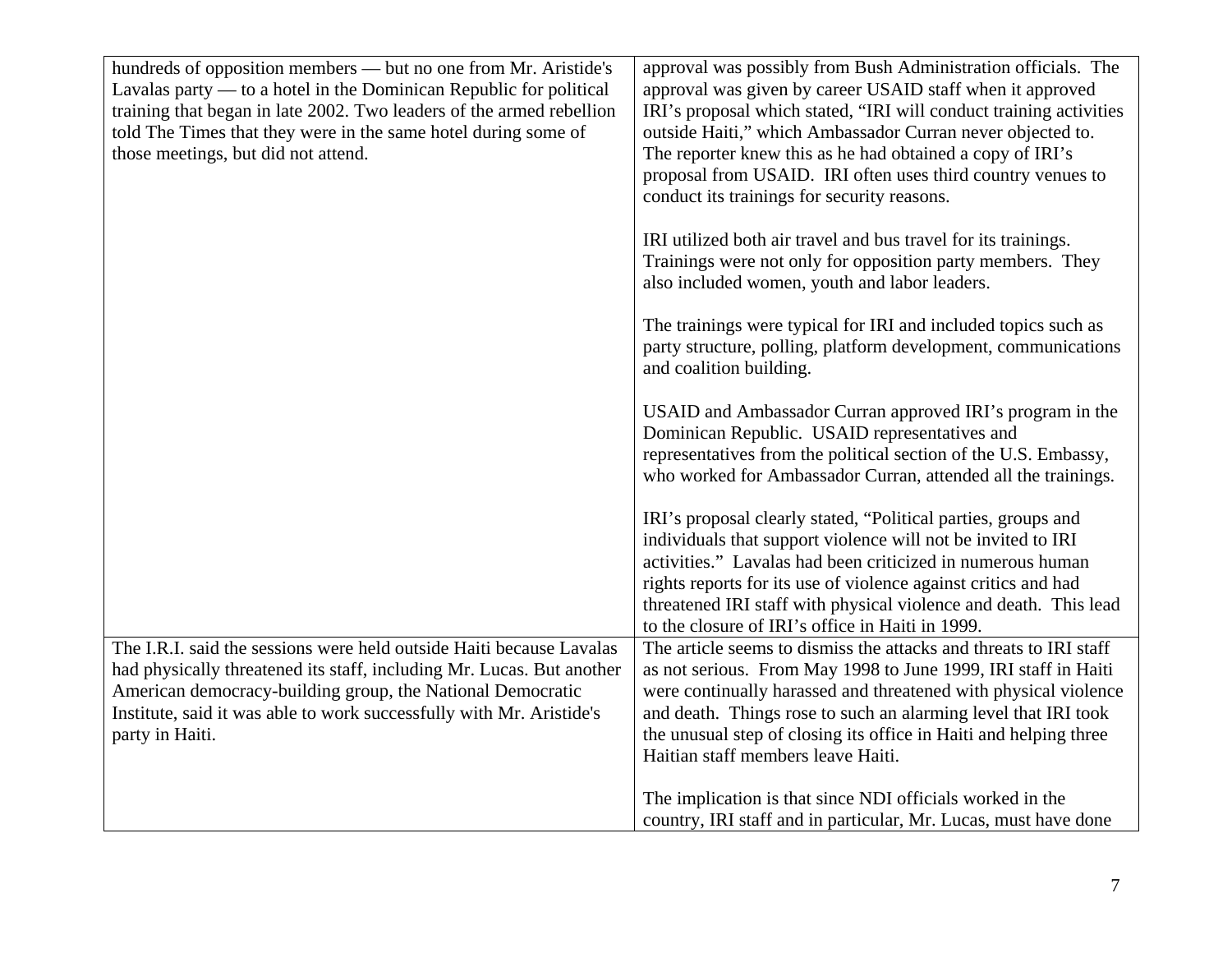| hundreds of opposition members — but no one from Mr. Aristide's<br>Lavalas party $-$ to a hotel in the Dominican Republic for political<br>training that began in late 2002. Two leaders of the armed rebellion<br>told The Times that they were in the same hotel during some of<br>those meetings, but did not attend. | approval was possibly from Bush Administration officials. The<br>approval was given by career USAID staff when it approved<br>IRI's proposal which stated, "IRI will conduct training activities<br>outside Haiti," which Ambassador Curran never objected to.<br>The reporter knew this as he had obtained a copy of IRI's                                                           |
|--------------------------------------------------------------------------------------------------------------------------------------------------------------------------------------------------------------------------------------------------------------------------------------------------------------------------|---------------------------------------------------------------------------------------------------------------------------------------------------------------------------------------------------------------------------------------------------------------------------------------------------------------------------------------------------------------------------------------|
|                                                                                                                                                                                                                                                                                                                          | proposal from USAID. IRI often uses third country venues to<br>conduct its trainings for security reasons.                                                                                                                                                                                                                                                                            |
|                                                                                                                                                                                                                                                                                                                          | IRI utilized both air travel and bus travel for its trainings.<br>Trainings were not only for opposition party members. They<br>also included women, youth and labor leaders.                                                                                                                                                                                                         |
|                                                                                                                                                                                                                                                                                                                          | The trainings were typical for IRI and included topics such as<br>party structure, polling, platform development, communications<br>and coalition building.                                                                                                                                                                                                                           |
|                                                                                                                                                                                                                                                                                                                          | USAID and Ambassador Curran approved IRI's program in the<br>Dominican Republic. USAID representatives and<br>representatives from the political section of the U.S. Embassy,<br>who worked for Ambassador Curran, attended all the trainings.                                                                                                                                        |
|                                                                                                                                                                                                                                                                                                                          | IRI's proposal clearly stated, "Political parties, groups and<br>individuals that support violence will not be invited to IRI<br>activities." Lavalas had been criticized in numerous human<br>rights reports for its use of violence against critics and had<br>threatened IRI staff with physical violence and death. This lead<br>to the closure of IRI's office in Haiti in 1999. |
| The I.R.I. said the sessions were held outside Haiti because Lavalas<br>had physically threatened its staff, including Mr. Lucas. But another<br>American democracy-building group, the National Democratic<br>Institute, said it was able to work successfully with Mr. Aristide's<br>party in Haiti.                   | The article seems to dismiss the attacks and threats to IRI staff<br>as not serious. From May 1998 to June 1999, IRI staff in Haiti<br>were continually harassed and threatened with physical violence<br>and death. Things rose to such an alarming level that IRI took<br>the unusual step of closing its office in Haiti and helping three<br>Haitian staff members leave Haiti.   |
|                                                                                                                                                                                                                                                                                                                          | The implication is that since NDI officials worked in the<br>country, IRI staff and in particular, Mr. Lucas, must have done                                                                                                                                                                                                                                                          |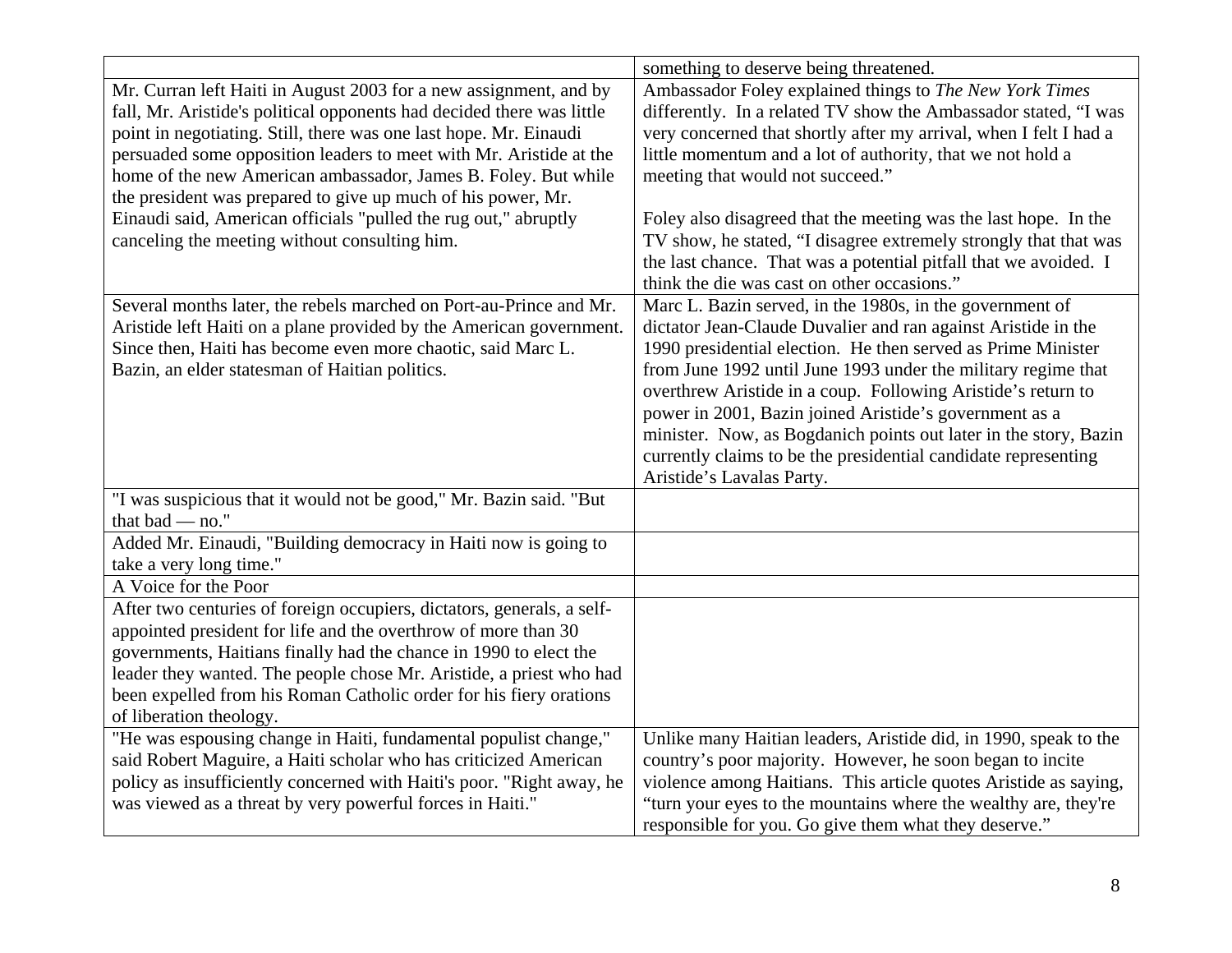|                                                                                                                                          | something to deserve being threatened.                            |
|------------------------------------------------------------------------------------------------------------------------------------------|-------------------------------------------------------------------|
| Mr. Curran left Haiti in August 2003 for a new assignment, and by                                                                        | Ambassador Foley explained things to The New York Times           |
| fall, Mr. Aristide's political opponents had decided there was little                                                                    | differently. In a related TV show the Ambassador stated, "I was   |
| point in negotiating. Still, there was one last hope. Mr. Einaudi                                                                        | very concerned that shortly after my arrival, when I felt I had a |
| persuaded some opposition leaders to meet with Mr. Aristide at the                                                                       | little momentum and a lot of authority, that we not hold a        |
| home of the new American ambassador, James B. Foley. But while                                                                           | meeting that would not succeed."                                  |
| the president was prepared to give up much of his power, Mr.                                                                             |                                                                   |
| Einaudi said, American officials "pulled the rug out," abruptly                                                                          | Foley also disagreed that the meeting was the last hope. In the   |
| canceling the meeting without consulting him.                                                                                            | TV show, he stated, "I disagree extremely strongly that that was  |
|                                                                                                                                          | the last chance. That was a potential pitfall that we avoided. I  |
|                                                                                                                                          | think the die was cast on other occasions."                       |
| Several months later, the rebels marched on Port-au-Prince and Mr.                                                                       | Marc L. Bazin served, in the 1980s, in the government of          |
| Aristide left Haiti on a plane provided by the American government.                                                                      | dictator Jean-Claude Duvalier and ran against Aristide in the     |
| Since then, Haiti has become even more chaotic, said Marc L.                                                                             | 1990 presidential election. He then served as Prime Minister      |
| Bazin, an elder statesman of Haitian politics.                                                                                           | from June 1992 until June 1993 under the military regime that     |
|                                                                                                                                          | overthrew Aristide in a coup. Following Aristide's return to      |
|                                                                                                                                          | power in 2001, Bazin joined Aristide's government as a            |
|                                                                                                                                          | minister. Now, as Bogdanich points out later in the story, Bazin  |
|                                                                                                                                          | currently claims to be the presidential candidate representing    |
|                                                                                                                                          | Aristide's Lavalas Party.                                         |
| "I was suspicious that it would not be good," Mr. Bazin said. "But                                                                       |                                                                   |
| that bad - no."                                                                                                                          |                                                                   |
| Added Mr. Einaudi, "Building democracy in Haiti now is going to                                                                          |                                                                   |
| take a very long time."<br>A Voice for the Poor                                                                                          |                                                                   |
|                                                                                                                                          |                                                                   |
| After two centuries of foreign occupiers, dictators, generals, a self-<br>appointed president for life and the overthrow of more than 30 |                                                                   |
| governments, Haitians finally had the chance in 1990 to elect the                                                                        |                                                                   |
| leader they wanted. The people chose Mr. Aristide, a priest who had                                                                      |                                                                   |
| been expelled from his Roman Catholic order for his fiery orations                                                                       |                                                                   |
| of liberation theology.                                                                                                                  |                                                                   |
| "He was espousing change in Haiti, fundamental populist change,"                                                                         | Unlike many Haitian leaders, Aristide did, in 1990, speak to the  |
| said Robert Maguire, a Haiti scholar who has criticized American                                                                         | country's poor majority. However, he soon began to incite         |
| policy as insufficiently concerned with Haiti's poor. "Right away, he                                                                    | violence among Haitians. This article quotes Aristide as saying,  |
| was viewed as a threat by very powerful forces in Haiti."                                                                                | "turn your eyes to the mountains where the wealthy are, they're   |
|                                                                                                                                          | responsible for you. Go give them what they deserve."             |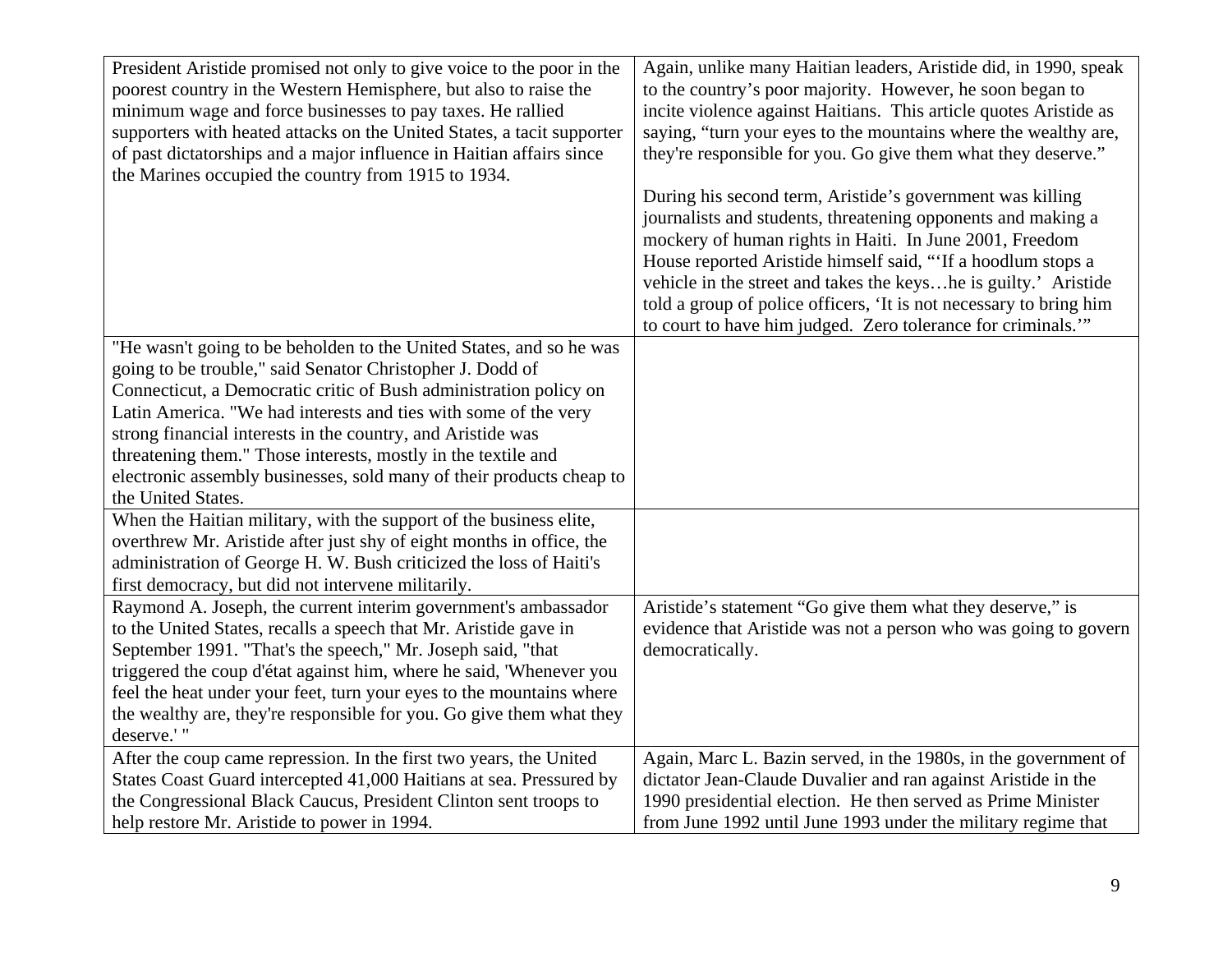| President Aristide promised not only to give voice to the poor in the<br>poorest country in the Western Hemisphere, but also to raise the<br>minimum wage and force businesses to pay taxes. He rallied<br>supporters with heated attacks on the United States, a tacit supporter<br>of past dictatorships and a major influence in Haitian affairs since<br>the Marines occupied the country from 1915 to 1934.                                                                                       | Again, unlike many Haitian leaders, Aristide did, in 1990, speak<br>to the country's poor majority. However, he soon began to<br>incite violence against Haitians. This article quotes Aristide as<br>saying, "turn your eyes to the mountains where the wealthy are,<br>they're responsible for you. Go give them what they deserve."<br>During his second term, Aristide's government was killing<br>journalists and students, threatening opponents and making a<br>mockery of human rights in Haiti. In June 2001, Freedom |
|--------------------------------------------------------------------------------------------------------------------------------------------------------------------------------------------------------------------------------------------------------------------------------------------------------------------------------------------------------------------------------------------------------------------------------------------------------------------------------------------------------|--------------------------------------------------------------------------------------------------------------------------------------------------------------------------------------------------------------------------------------------------------------------------------------------------------------------------------------------------------------------------------------------------------------------------------------------------------------------------------------------------------------------------------|
|                                                                                                                                                                                                                                                                                                                                                                                                                                                                                                        | House reported Aristide himself said, "If a hoodlum stops a<br>vehicle in the street and takes the keyshe is guilty.' Aristide<br>told a group of police officers, 'It is not necessary to bring him<br>to court to have him judged. Zero tolerance for criminals."                                                                                                                                                                                                                                                            |
| "He wasn't going to be beholden to the United States, and so he was<br>going to be trouble," said Senator Christopher J. Dodd of<br>Connecticut, a Democratic critic of Bush administration policy on<br>Latin America. "We had interests and ties with some of the very<br>strong financial interests in the country, and Aristide was<br>threatening them." Those interests, mostly in the textile and<br>electronic assembly businesses, sold many of their products cheap to<br>the United States. |                                                                                                                                                                                                                                                                                                                                                                                                                                                                                                                                |
| When the Haitian military, with the support of the business elite,<br>overthrew Mr. Aristide after just shy of eight months in office, the<br>administration of George H. W. Bush criticized the loss of Haiti's<br>first democracy, but did not intervene militarily.                                                                                                                                                                                                                                 |                                                                                                                                                                                                                                                                                                                                                                                                                                                                                                                                |
| Raymond A. Joseph, the current interim government's ambassador<br>to the United States, recalls a speech that Mr. Aristide gave in<br>September 1991. "That's the speech," Mr. Joseph said, "that<br>triggered the coup d'état against him, where he said, 'Whenever you<br>feel the heat under your feet, turn your eyes to the mountains where<br>the wealthy are, they're responsible for you. Go give them what they<br>deserve.'"                                                                 | Aristide's statement "Go give them what they deserve," is<br>evidence that Aristide was not a person who was going to govern<br>democratically.                                                                                                                                                                                                                                                                                                                                                                                |
| After the coup came repression. In the first two years, the United<br>States Coast Guard intercepted 41,000 Haitians at sea. Pressured by<br>the Congressional Black Caucus, President Clinton sent troops to<br>help restore Mr. Aristide to power in 1994.                                                                                                                                                                                                                                           | Again, Marc L. Bazin served, in the 1980s, in the government of<br>dictator Jean-Claude Duvalier and ran against Aristide in the<br>1990 presidential election. He then served as Prime Minister<br>from June 1992 until June 1993 under the military regime that                                                                                                                                                                                                                                                              |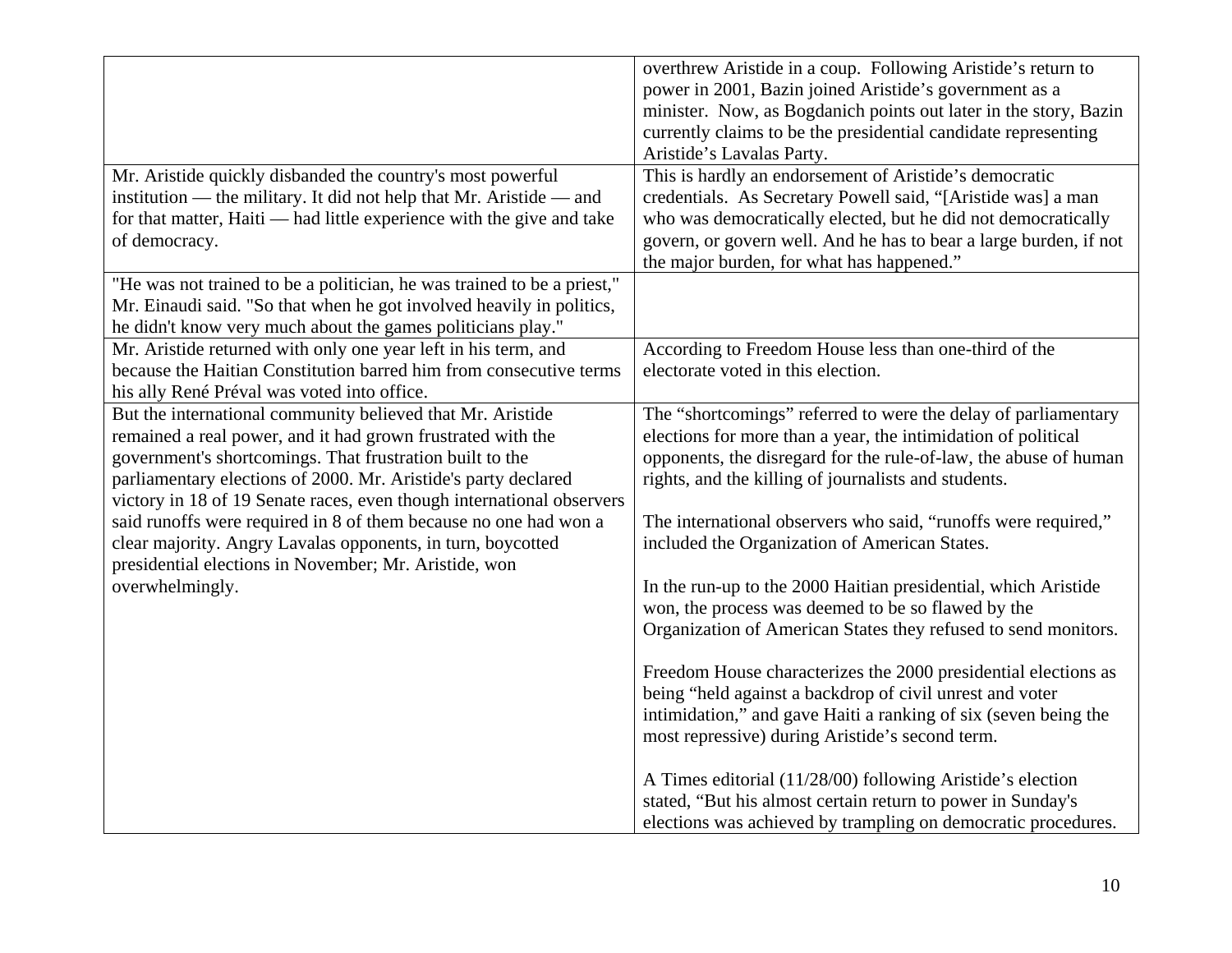|                                                                                                                                      | overthrew Aristide in a coup. Following Aristide's return to<br>power in 2001, Bazin joined Aristide's government as a<br>minister. Now, as Bogdanich points out later in the story, Bazin<br>currently claims to be the presidential candidate representing<br>Aristide's Lavalas Party. |
|--------------------------------------------------------------------------------------------------------------------------------------|-------------------------------------------------------------------------------------------------------------------------------------------------------------------------------------------------------------------------------------------------------------------------------------------|
| Mr. Aristide quickly disbanded the country's most powerful                                                                           | This is hardly an endorsement of Aristide's democratic                                                                                                                                                                                                                                    |
| institution — the military. It did not help that Mr. Aristide — and                                                                  | credentials. As Secretary Powell said, "[Aristide was] a man                                                                                                                                                                                                                              |
| for that matter, Haiti — had little experience with the give and take                                                                | who was democratically elected, but he did not democratically                                                                                                                                                                                                                             |
| of democracy.                                                                                                                        | govern, or govern well. And he has to bear a large burden, if not                                                                                                                                                                                                                         |
|                                                                                                                                      | the major burden, for what has happened."                                                                                                                                                                                                                                                 |
| "He was not trained to be a politician, he was trained to be a priest,"                                                              |                                                                                                                                                                                                                                                                                           |
| Mr. Einaudi said. "So that when he got involved heavily in politics,                                                                 |                                                                                                                                                                                                                                                                                           |
| he didn't know very much about the games politicians play."                                                                          |                                                                                                                                                                                                                                                                                           |
| Mr. Aristide returned with only one year left in his term, and<br>because the Haitian Constitution barred him from consecutive terms | According to Freedom House less than one-third of the<br>electorate voted in this election.                                                                                                                                                                                               |
|                                                                                                                                      |                                                                                                                                                                                                                                                                                           |
| his ally René Préval was voted into office.<br>But the international community believed that Mr. Aristide                            | The "shortcomings" referred to were the delay of parliamentary                                                                                                                                                                                                                            |
| remained a real power, and it had grown frustrated with the                                                                          | elections for more than a year, the intimidation of political                                                                                                                                                                                                                             |
| government's shortcomings. That frustration built to the                                                                             | opponents, the disregard for the rule-of-law, the abuse of human                                                                                                                                                                                                                          |
| parliamentary elections of 2000. Mr. Aristide's party declared                                                                       | rights, and the killing of journalists and students.                                                                                                                                                                                                                                      |
| victory in 18 of 19 Senate races, even though international observers                                                                |                                                                                                                                                                                                                                                                                           |
| said runoffs were required in 8 of them because no one had won a                                                                     | The international observers who said, "runoffs were required,"                                                                                                                                                                                                                            |
| clear majority. Angry Lavalas opponents, in turn, boycotted                                                                          | included the Organization of American States.                                                                                                                                                                                                                                             |
| presidential elections in November; Mr. Aristide, won                                                                                |                                                                                                                                                                                                                                                                                           |
| overwhelmingly.                                                                                                                      | In the run-up to the 2000 Haitian presidential, which Aristide                                                                                                                                                                                                                            |
|                                                                                                                                      | won, the process was deemed to be so flawed by the                                                                                                                                                                                                                                        |
|                                                                                                                                      | Organization of American States they refused to send monitors.                                                                                                                                                                                                                            |
|                                                                                                                                      | Freedom House characterizes the 2000 presidential elections as                                                                                                                                                                                                                            |
|                                                                                                                                      | being "held against a backdrop of civil unrest and voter                                                                                                                                                                                                                                  |
|                                                                                                                                      | intimidation," and gave Haiti a ranking of six (seven being the                                                                                                                                                                                                                           |
|                                                                                                                                      | most repressive) during Aristide's second term.                                                                                                                                                                                                                                           |
|                                                                                                                                      | A Times editorial (11/28/00) following Aristide's election                                                                                                                                                                                                                                |
|                                                                                                                                      | stated, "But his almost certain return to power in Sunday's                                                                                                                                                                                                                               |
|                                                                                                                                      | elections was achieved by trampling on democratic procedures.                                                                                                                                                                                                                             |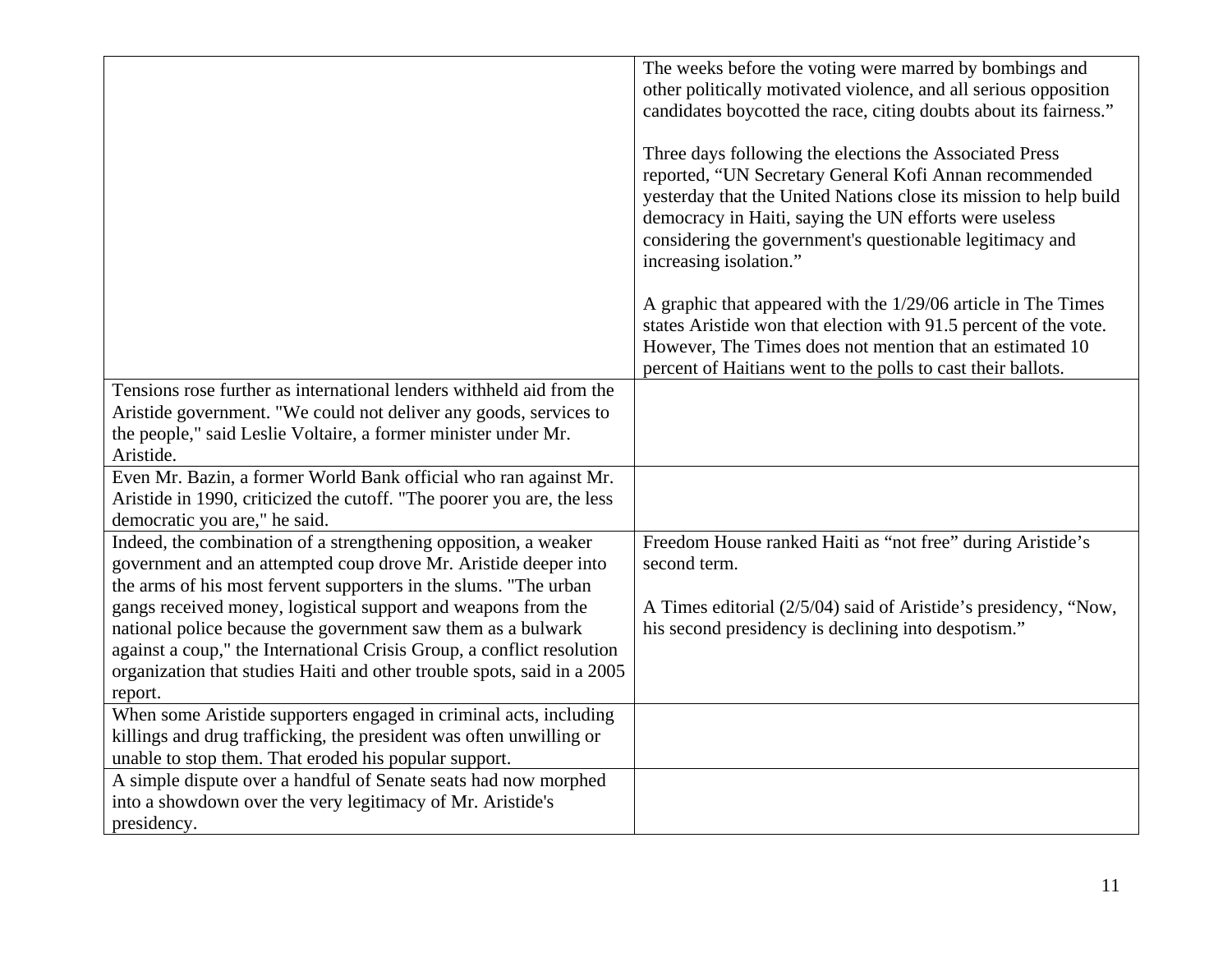|                                                                         | The weeks before the voting were marred by bombings and                                                                                                                                       |
|-------------------------------------------------------------------------|-----------------------------------------------------------------------------------------------------------------------------------------------------------------------------------------------|
|                                                                         | other politically motivated violence, and all serious opposition                                                                                                                              |
|                                                                         | candidates boycotted the race, citing doubts about its fairness."                                                                                                                             |
|                                                                         | Three days following the elections the Associated Press                                                                                                                                       |
|                                                                         | reported, "UN Secretary General Kofi Annan recommended                                                                                                                                        |
|                                                                         | yesterday that the United Nations close its mission to help build                                                                                                                             |
|                                                                         | democracy in Haiti, saying the UN efforts were useless                                                                                                                                        |
|                                                                         | considering the government's questionable legitimacy and                                                                                                                                      |
|                                                                         | increasing isolation."                                                                                                                                                                        |
|                                                                         |                                                                                                                                                                                               |
|                                                                         | A graphic that appeared with the 1/29/06 article in The Times<br>states Aristide won that election with 91.5 percent of the vote.<br>However, The Times does not mention that an estimated 10 |
|                                                                         | percent of Haitians went to the polls to cast their ballots.                                                                                                                                  |
| Tensions rose further as international lenders withheld aid from the    |                                                                                                                                                                                               |
| Aristide government. "We could not deliver any goods, services to       |                                                                                                                                                                                               |
| the people," said Leslie Voltaire, a former minister under Mr.          |                                                                                                                                                                                               |
| Aristide.                                                               |                                                                                                                                                                                               |
| Even Mr. Bazin, a former World Bank official who ran against Mr.        |                                                                                                                                                                                               |
| Aristide in 1990, criticized the cutoff. "The poorer you are, the less  |                                                                                                                                                                                               |
| democratic you are," he said.                                           |                                                                                                                                                                                               |
| Indeed, the combination of a strengthening opposition, a weaker         | Freedom House ranked Haiti as "not free" during Aristide's                                                                                                                                    |
| government and an attempted coup drove Mr. Aristide deeper into         | second term.                                                                                                                                                                                  |
|                                                                         |                                                                                                                                                                                               |
| the arms of his most fervent supporters in the slums. "The urban        |                                                                                                                                                                                               |
| gangs received money, logistical support and weapons from the           | A Times editorial (2/5/04) said of Aristide's presidency, "Now,                                                                                                                               |
| national police because the government saw them as a bulwark            | his second presidency is declining into despotism."                                                                                                                                           |
| against a coup," the International Crisis Group, a conflict resolution  |                                                                                                                                                                                               |
| organization that studies Haiti and other trouble spots, said in a 2005 |                                                                                                                                                                                               |
| report.                                                                 |                                                                                                                                                                                               |
| When some Aristide supporters engaged in criminal acts, including       |                                                                                                                                                                                               |
| killings and drug trafficking, the president was often unwilling or     |                                                                                                                                                                                               |
| unable to stop them. That eroded his popular support.                   |                                                                                                                                                                                               |
| A simple dispute over a handful of Senate seats had now morphed         |                                                                                                                                                                                               |
| into a showdown over the very legitimacy of Mr. Aristide's              |                                                                                                                                                                                               |
| presidency.                                                             |                                                                                                                                                                                               |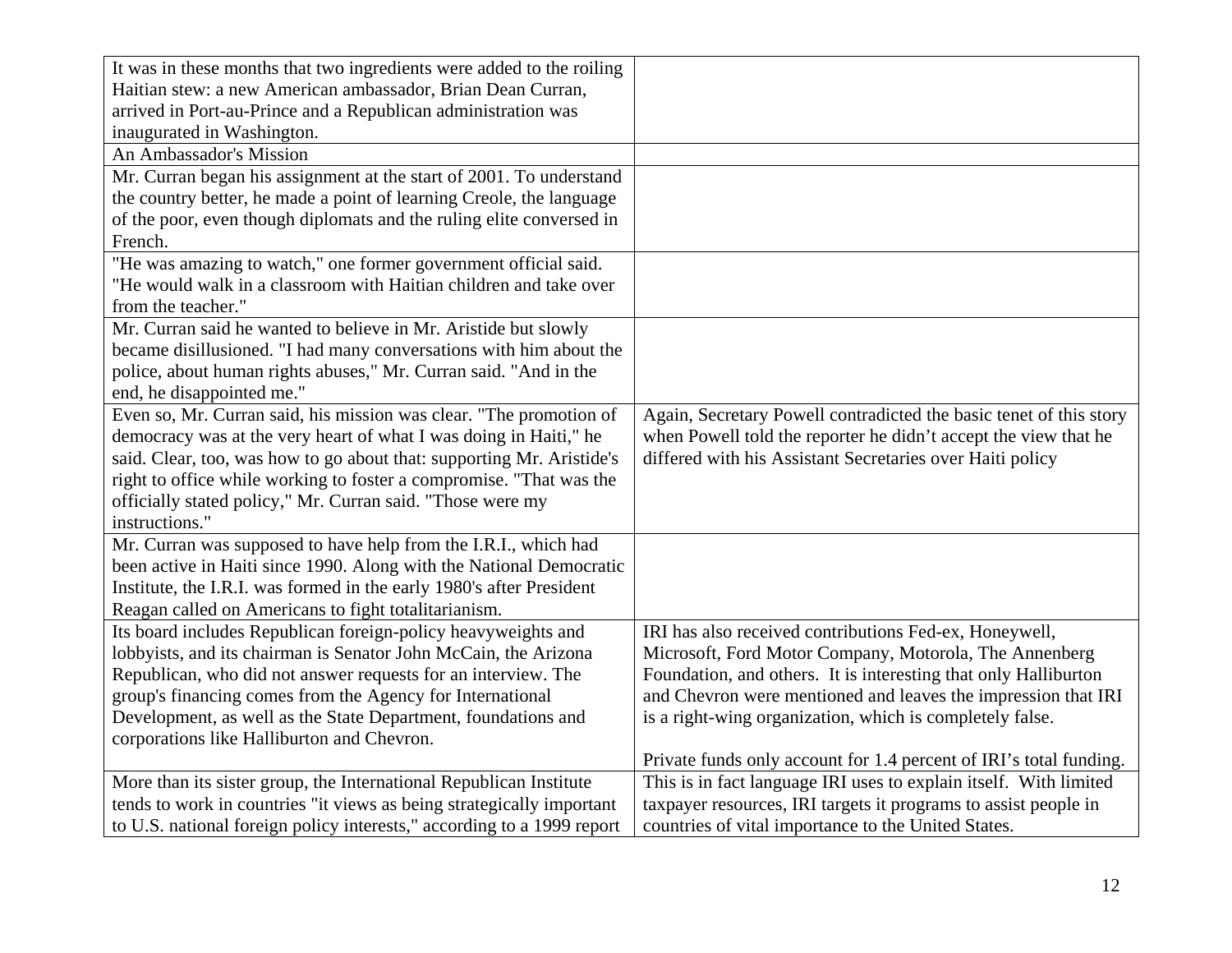| It was in these months that two ingredients were added to the roiling  |                                                                    |
|------------------------------------------------------------------------|--------------------------------------------------------------------|
| Haitian stew: a new American ambassador, Brian Dean Curran,            |                                                                    |
| arrived in Port-au-Prince and a Republican administration was          |                                                                    |
| inaugurated in Washington.                                             |                                                                    |
| An Ambassador's Mission                                                |                                                                    |
| Mr. Curran began his assignment at the start of 2001. To understand    |                                                                    |
| the country better, he made a point of learning Creole, the language   |                                                                    |
| of the poor, even though diplomats and the ruling elite conversed in   |                                                                    |
| French.                                                                |                                                                    |
| "He was amazing to watch," one former government official said.        |                                                                    |
| "He would walk in a classroom with Haitian children and take over      |                                                                    |
| from the teacher."                                                     |                                                                    |
| Mr. Curran said he wanted to believe in Mr. Aristide but slowly        |                                                                    |
| became disillusioned. "I had many conversations with him about the     |                                                                    |
| police, about human rights abuses," Mr. Curran said. "And in the       |                                                                    |
| end, he disappointed me."                                              |                                                                    |
| Even so, Mr. Curran said, his mission was clear. "The promotion of     | Again, Secretary Powell contradicted the basic tenet of this story |
| democracy was at the very heart of what I was doing in Haiti," he      | when Powell told the reporter he didn't accept the view that he    |
| said. Clear, too, was how to go about that: supporting Mr. Aristide's  | differed with his Assistant Secretaries over Haiti policy          |
| right to office while working to foster a compromise. "That was the    |                                                                    |
| officially stated policy," Mr. Curran said. "Those were my             |                                                                    |
| instructions."                                                         |                                                                    |
| Mr. Curran was supposed to have help from the I.R.I., which had        |                                                                    |
| been active in Haiti since 1990. Along with the National Democratic    |                                                                    |
| Institute, the I.R.I. was formed in the early 1980's after President   |                                                                    |
| Reagan called on Americans to fight totalitarianism.                   |                                                                    |
| Its board includes Republican foreign-policy heavyweights and          | IRI has also received contributions Fed-ex, Honeywell,             |
| lobbyists, and its chairman is Senator John McCain, the Arizona        | Microsoft, Ford Motor Company, Motorola, The Annenberg             |
| Republican, who did not answer requests for an interview. The          | Foundation, and others. It is interesting that only Halliburton    |
| group's financing comes from the Agency for International              | and Chevron were mentioned and leaves the impression that IRI      |
| Development, as well as the State Department, foundations and          | is a right-wing organization, which is completely false.           |
| corporations like Halliburton and Chevron.                             |                                                                    |
|                                                                        | Private funds only account for 1.4 percent of IRI's total funding. |
| More than its sister group, the International Republican Institute     | This is in fact language IRI uses to explain itself. With limited  |
| tends to work in countries "it views as being strategically important  | taxpayer resources, IRI targets it programs to assist people in    |
| to U.S. national foreign policy interests," according to a 1999 report | countries of vital importance to the United States.                |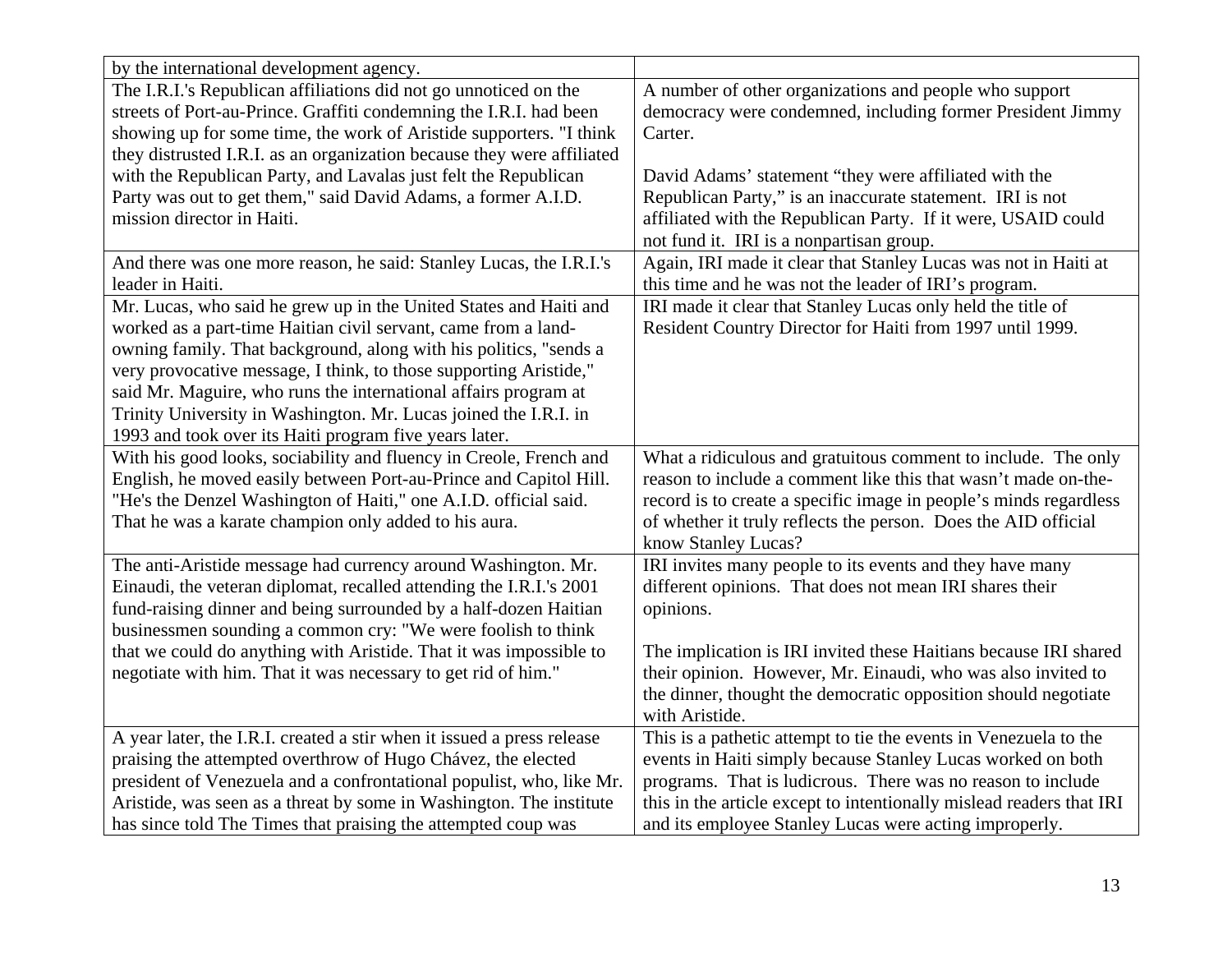| by the international development agency.                               |                                                                      |
|------------------------------------------------------------------------|----------------------------------------------------------------------|
| The I.R.I.'s Republican affiliations did not go unnoticed on the       | A number of other organizations and people who support               |
| streets of Port-au-Prince. Graffiti condemning the I.R.I. had been     | democracy were condemned, including former President Jimmy           |
| showing up for some time, the work of Aristide supporters. "I think    | Carter.                                                              |
| they distrusted I.R.I. as an organization because they were affiliated |                                                                      |
| with the Republican Party, and Lavalas just felt the Republican        | David Adams' statement "they were affiliated with the                |
| Party was out to get them," said David Adams, a former A.I.D.          | Republican Party," is an inaccurate statement. IRI is not            |
| mission director in Haiti.                                             | affiliated with the Republican Party. If it were, USAID could        |
|                                                                        | not fund it. IRI is a nonpartisan group.                             |
| And there was one more reason, he said: Stanley Lucas, the I.R.I.'s    | Again, IRI made it clear that Stanley Lucas was not in Haiti at      |
| leader in Haiti.                                                       | this time and he was not the leader of IRI's program.                |
| Mr. Lucas, who said he grew up in the United States and Haiti and      | IRI made it clear that Stanley Lucas only held the title of          |
| worked as a part-time Haitian civil servant, came from a land-         | Resident Country Director for Haiti from 1997 until 1999.            |
| owning family. That background, along with his politics, "sends a      |                                                                      |
| very provocative message, I think, to those supporting Aristide,"      |                                                                      |
| said Mr. Maguire, who runs the international affairs program at        |                                                                      |
| Trinity University in Washington. Mr. Lucas joined the I.R.I. in       |                                                                      |
| 1993 and took over its Haiti program five years later.                 |                                                                      |
| With his good looks, sociability and fluency in Creole, French and     | What a ridiculous and gratuitous comment to include. The only        |
| English, he moved easily between Port-au-Prince and Capitol Hill.      | reason to include a comment like this that wasn't made on-the-       |
| "He's the Denzel Washington of Haiti," one A.I.D. official said.       | record is to create a specific image in people's minds regardless    |
| That he was a karate champion only added to his aura.                  | of whether it truly reflects the person. Does the AID official       |
|                                                                        | know Stanley Lucas?                                                  |
| The anti-Aristide message had currency around Washington. Mr.          | IRI invites many people to its events and they have many             |
| Einaudi, the veteran diplomat, recalled attending the I.R.I.'s 2001    | different opinions. That does not mean IRI shares their              |
| fund-raising dinner and being surrounded by a half-dozen Haitian       | opinions.                                                            |
| businessmen sounding a common cry: "We were foolish to think           |                                                                      |
| that we could do anything with Aristide. That it was impossible to     | The implication is IRI invited these Haitians because IRI shared     |
| negotiate with him. That it was necessary to get rid of him."          | their opinion. However, Mr. Einaudi, who was also invited to         |
|                                                                        | the dinner, thought the democratic opposition should negotiate       |
|                                                                        | with Aristide.                                                       |
| A year later, the I.R.I. created a stir when it issued a press release | This is a pathetic attempt to tie the events in Venezuela to the     |
| praising the attempted overthrow of Hugo Chávez, the elected           | events in Haiti simply because Stanley Lucas worked on both          |
| president of Venezuela and a confrontational populist, who, like Mr.   | programs. That is ludicrous. There was no reason to include          |
| Aristide, was seen as a threat by some in Washington. The institute    | this in the article except to intentionally mislead readers that IRI |
| has since told The Times that praising the attempted coup was          | and its employee Stanley Lucas were acting improperly.               |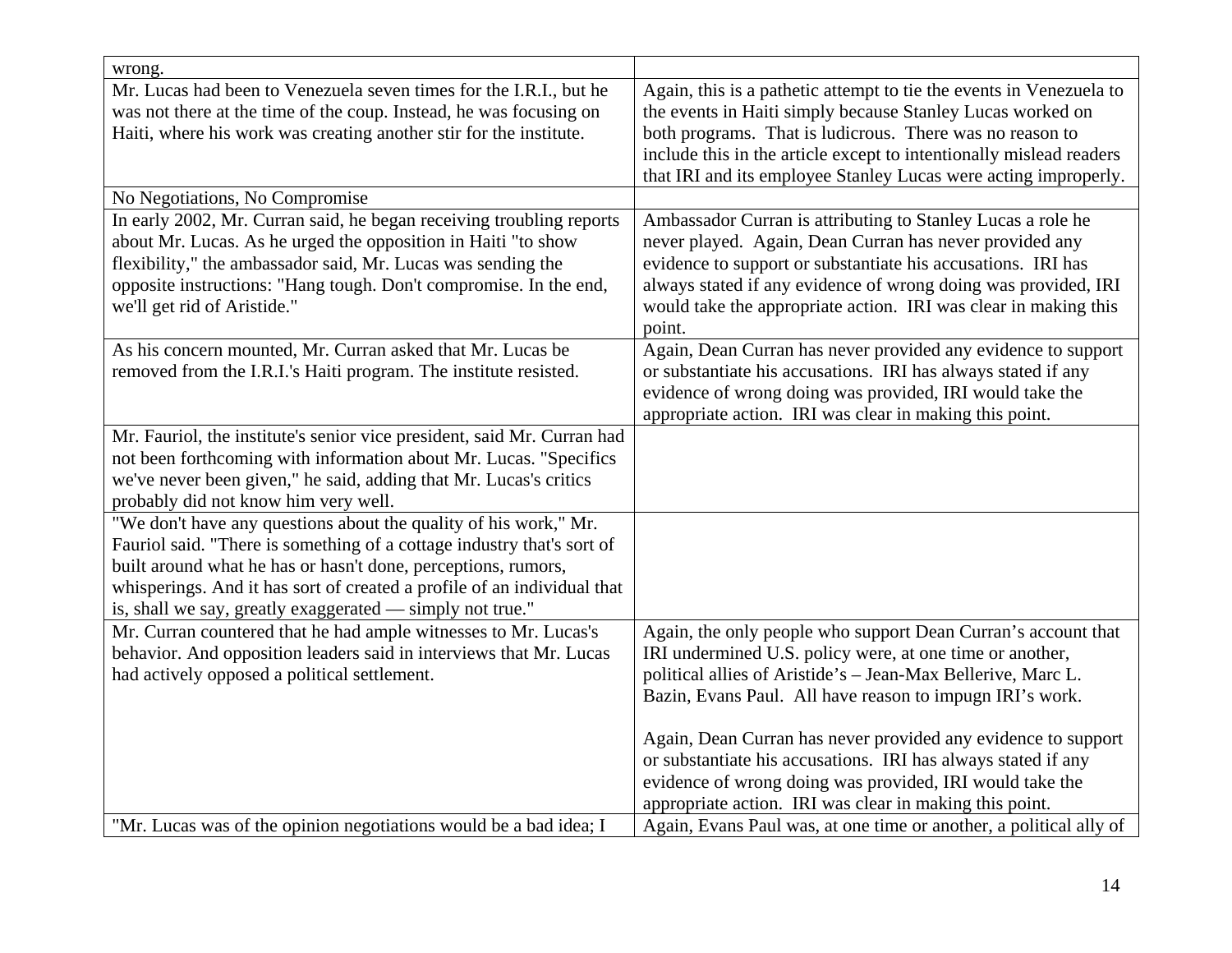| wrong.                                                                                                                                                                                                                                                                                                                                              |                                                                                                                                                                                                                                                                                                                                         |
|-----------------------------------------------------------------------------------------------------------------------------------------------------------------------------------------------------------------------------------------------------------------------------------------------------------------------------------------------------|-----------------------------------------------------------------------------------------------------------------------------------------------------------------------------------------------------------------------------------------------------------------------------------------------------------------------------------------|
| Mr. Lucas had been to Venezuela seven times for the I.R.I., but he<br>was not there at the time of the coup. Instead, he was focusing on<br>Haiti, where his work was creating another stir for the institute.                                                                                                                                      | Again, this is a pathetic attempt to tie the events in Venezuela to<br>the events in Haiti simply because Stanley Lucas worked on<br>both programs. That is ludicrous. There was no reason to<br>include this in the article except to intentionally mislead readers<br>that IRI and its employee Stanley Lucas were acting improperly. |
| No Negotiations, No Compromise                                                                                                                                                                                                                                                                                                                      |                                                                                                                                                                                                                                                                                                                                         |
| In early 2002, Mr. Curran said, he began receiving troubling reports<br>about Mr. Lucas. As he urged the opposition in Haiti "to show<br>flexibility," the ambassador said, Mr. Lucas was sending the<br>opposite instructions: "Hang tough. Don't compromise. In the end,<br>we'll get rid of Aristide."                                           | Ambassador Curran is attributing to Stanley Lucas a role he<br>never played. Again, Dean Curran has never provided any<br>evidence to support or substantiate his accusations. IRI has<br>always stated if any evidence of wrong doing was provided, IRI<br>would take the appropriate action. IRI was clear in making this<br>point.   |
| As his concern mounted, Mr. Curran asked that Mr. Lucas be<br>removed from the I.R.I.'s Haiti program. The institute resisted.                                                                                                                                                                                                                      | Again, Dean Curran has never provided any evidence to support<br>or substantiate his accusations. IRI has always stated if any<br>evidence of wrong doing was provided, IRI would take the<br>appropriate action. IRI was clear in making this point.                                                                                   |
| Mr. Fauriol, the institute's senior vice president, said Mr. Curran had<br>not been forthcoming with information about Mr. Lucas. "Specifics<br>we've never been given," he said, adding that Mr. Lucas's critics<br>probably did not know him very well.                                                                                           |                                                                                                                                                                                                                                                                                                                                         |
| "We don't have any questions about the quality of his work," Mr.<br>Fauriol said. "There is something of a cottage industry that's sort of<br>built around what he has or hasn't done, perceptions, rumors,<br>whisperings. And it has sort of created a profile of an individual that<br>is, shall we say, greatly exaggerated — simply not true." |                                                                                                                                                                                                                                                                                                                                         |
| Mr. Curran countered that he had ample witnesses to Mr. Lucas's<br>behavior. And opposition leaders said in interviews that Mr. Lucas<br>had actively opposed a political settlement.                                                                                                                                                               | Again, the only people who support Dean Curran's account that<br>IRI undermined U.S. policy were, at one time or another,<br>political allies of Aristide's - Jean-Max Bellerive, Marc L.<br>Bazin, Evans Paul. All have reason to impugn IRI's work.                                                                                   |
| "Mr. Lucas was of the opinion negotiations would be a bad idea; I                                                                                                                                                                                                                                                                                   | Again, Dean Curran has never provided any evidence to support<br>or substantiate his accusations. IRI has always stated if any<br>evidence of wrong doing was provided, IRI would take the<br>appropriate action. IRI was clear in making this point.<br>Again, Evans Paul was, at one time or another, a political ally of             |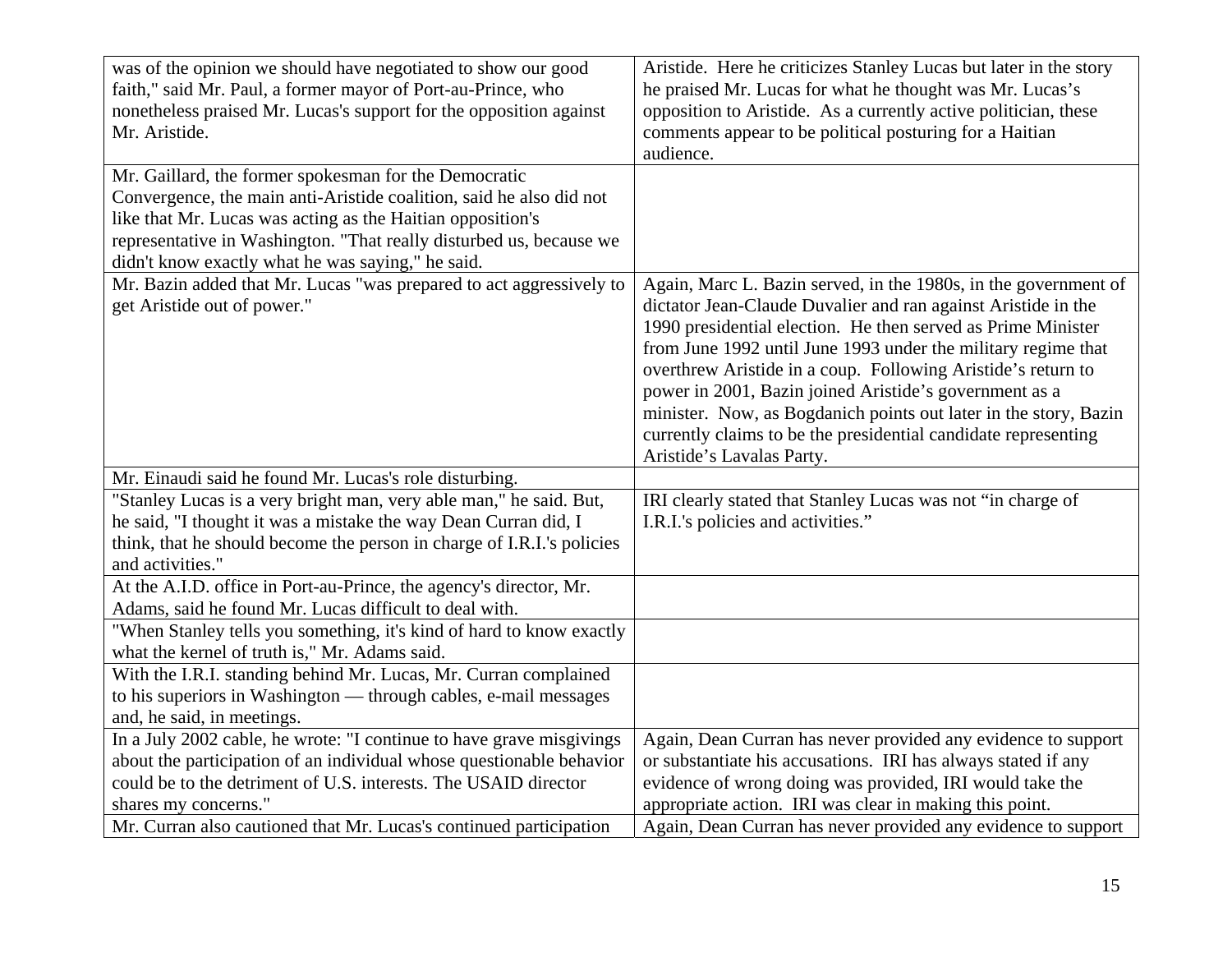| was of the opinion we should have negotiated to show our good<br>faith," said Mr. Paul, a former mayor of Port-au-Prince, who<br>nonetheless praised Mr. Lucas's support for the opposition against<br>Mr. Aristide.                                                                                                   | Aristide. Here he criticizes Stanley Lucas but later in the story<br>he praised Mr. Lucas for what he thought was Mr. Lucas's<br>opposition to Aristide. As a currently active politician, these<br>comments appear to be political posturing for a Haitian<br>audience.                                                                                                                                                                                                                                                                                       |
|------------------------------------------------------------------------------------------------------------------------------------------------------------------------------------------------------------------------------------------------------------------------------------------------------------------------|----------------------------------------------------------------------------------------------------------------------------------------------------------------------------------------------------------------------------------------------------------------------------------------------------------------------------------------------------------------------------------------------------------------------------------------------------------------------------------------------------------------------------------------------------------------|
| Mr. Gaillard, the former spokesman for the Democratic<br>Convergence, the main anti-Aristide coalition, said he also did not<br>like that Mr. Lucas was acting as the Haitian opposition's<br>representative in Washington. "That really disturbed us, because we<br>didn't know exactly what he was saying," he said. |                                                                                                                                                                                                                                                                                                                                                                                                                                                                                                                                                                |
| Mr. Bazin added that Mr. Lucas "was prepared to act aggressively to<br>get Aristide out of power."                                                                                                                                                                                                                     | Again, Marc L. Bazin served, in the 1980s, in the government of<br>dictator Jean-Claude Duvalier and ran against Aristide in the<br>1990 presidential election. He then served as Prime Minister<br>from June 1992 until June 1993 under the military regime that<br>overthrew Aristide in a coup. Following Aristide's return to<br>power in 2001, Bazin joined Aristide's government as a<br>minister. Now, as Bogdanich points out later in the story, Bazin<br>currently claims to be the presidential candidate representing<br>Aristide's Lavalas Party. |
| Mr. Einaudi said he found Mr. Lucas's role disturbing.                                                                                                                                                                                                                                                                 |                                                                                                                                                                                                                                                                                                                                                                                                                                                                                                                                                                |
| "Stanley Lucas is a very bright man, very able man," he said. But,<br>he said, "I thought it was a mistake the way Dean Curran did, I<br>think, that he should become the person in charge of I.R.I.'s policies<br>and activities."                                                                                    | IRI clearly stated that Stanley Lucas was not "in charge of<br>I.R.I.'s policies and activities."                                                                                                                                                                                                                                                                                                                                                                                                                                                              |
| At the A.I.D. office in Port-au-Prince, the agency's director, Mr.<br>Adams, said he found Mr. Lucas difficult to deal with.                                                                                                                                                                                           |                                                                                                                                                                                                                                                                                                                                                                                                                                                                                                                                                                |
| "When Stanley tells you something, it's kind of hard to know exactly<br>what the kernel of truth is," Mr. Adams said.                                                                                                                                                                                                  |                                                                                                                                                                                                                                                                                                                                                                                                                                                                                                                                                                |
| With the I.R.I. standing behind Mr. Lucas, Mr. Curran complained<br>to his superiors in Washington — through cables, e-mail messages<br>and, he said, in meetings.                                                                                                                                                     |                                                                                                                                                                                                                                                                                                                                                                                                                                                                                                                                                                |
| In a July 2002 cable, he wrote: "I continue to have grave misgivings<br>about the participation of an individual whose questionable behavior<br>could be to the detriment of U.S. interests. The USAID director<br>shares my concerns."<br>Mr. Curran also cautioned that Mr. Lucas's continued participation          | Again, Dean Curran has never provided any evidence to support<br>or substantiate his accusations. IRI has always stated if any<br>evidence of wrong doing was provided, IRI would take the<br>appropriate action. IRI was clear in making this point.<br>Again, Dean Curran has never provided any evidence to support                                                                                                                                                                                                                                         |
|                                                                                                                                                                                                                                                                                                                        |                                                                                                                                                                                                                                                                                                                                                                                                                                                                                                                                                                |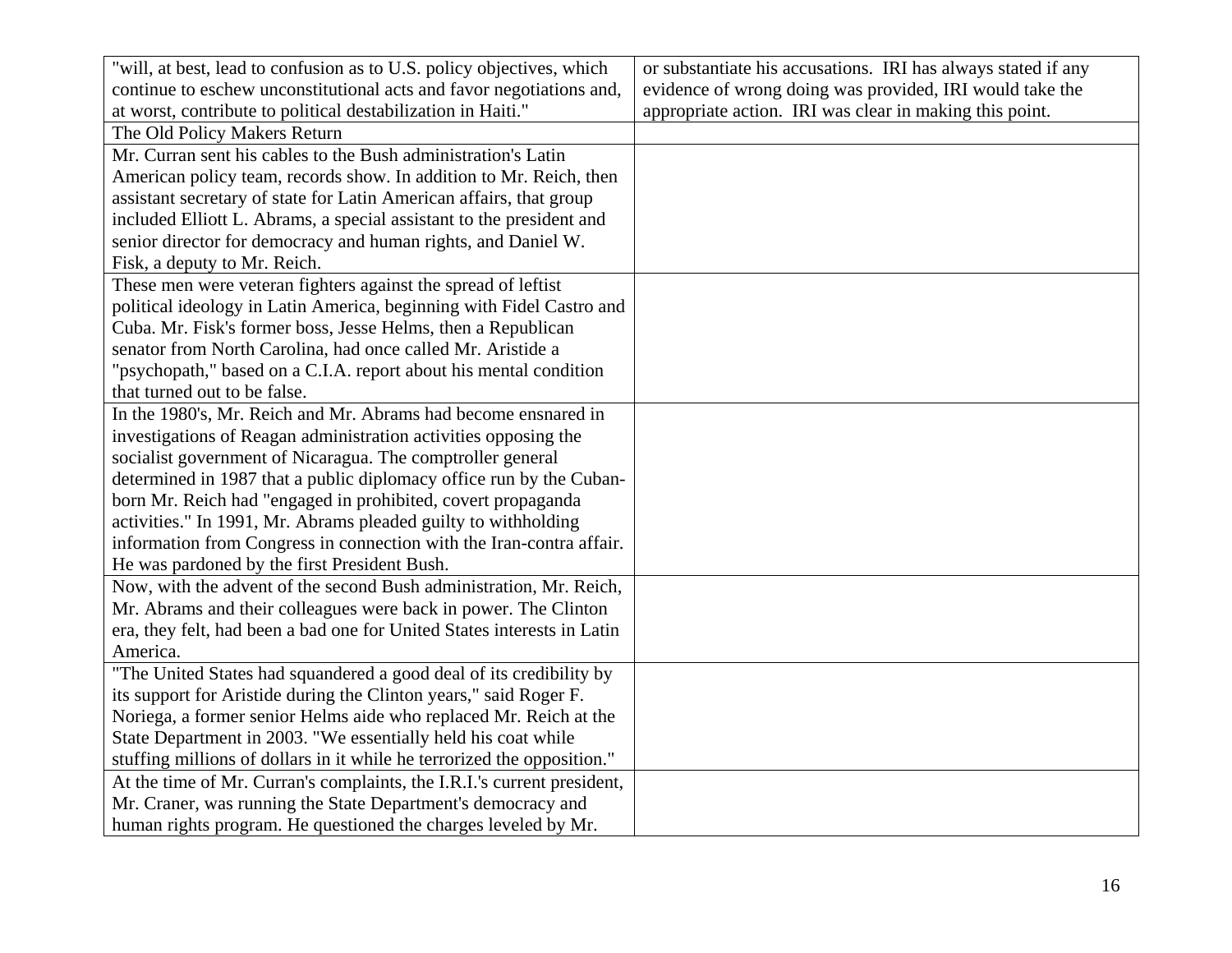| "will, at best, lead to confusion as to U.S. policy objectives, which   | or substantiate his accusations. IRI has always stated if any |
|-------------------------------------------------------------------------|---------------------------------------------------------------|
| continue to eschew unconstitutional acts and favor negotiations and,    | evidence of wrong doing was provided, IRI would take the      |
| at worst, contribute to political destabilization in Haiti."            | appropriate action. IRI was clear in making this point.       |
| The Old Policy Makers Return                                            |                                                               |
| Mr. Curran sent his cables to the Bush administration's Latin           |                                                               |
| American policy team, records show. In addition to Mr. Reich, then      |                                                               |
| assistant secretary of state for Latin American affairs, that group     |                                                               |
| included Elliott L. Abrams, a special assistant to the president and    |                                                               |
| senior director for democracy and human rights, and Daniel W.           |                                                               |
| Fisk, a deputy to Mr. Reich.                                            |                                                               |
| These men were veteran fighters against the spread of leftist           |                                                               |
| political ideology in Latin America, beginning with Fidel Castro and    |                                                               |
| Cuba. Mr. Fisk's former boss, Jesse Helms, then a Republican            |                                                               |
| senator from North Carolina, had once called Mr. Aristide a             |                                                               |
| "psychopath," based on a C.I.A. report about his mental condition       |                                                               |
| that turned out to be false.                                            |                                                               |
| In the 1980's, Mr. Reich and Mr. Abrams had become ensnared in          |                                                               |
| investigations of Reagan administration activities opposing the         |                                                               |
| socialist government of Nicaragua. The comptroller general              |                                                               |
| determined in 1987 that a public diplomacy office run by the Cuban-     |                                                               |
| born Mr. Reich had "engaged in prohibited, covert propaganda            |                                                               |
| activities." In 1991, Mr. Abrams pleaded guilty to withholding          |                                                               |
| information from Congress in connection with the Iran-contra affair.    |                                                               |
| He was pardoned by the first President Bush.                            |                                                               |
| Now, with the advent of the second Bush administration, Mr. Reich,      |                                                               |
| Mr. Abrams and their colleagues were back in power. The Clinton         |                                                               |
| era, they felt, had been a bad one for United States interests in Latin |                                                               |
| America.                                                                |                                                               |
| "The United States had squandered a good deal of its credibility by     |                                                               |
| its support for Aristide during the Clinton years," said Roger F.       |                                                               |
| Noriega, a former senior Helms aide who replaced Mr. Reich at the       |                                                               |
| State Department in 2003. "We essentially held his coat while           |                                                               |
| stuffing millions of dollars in it while he terrorized the opposition." |                                                               |
| At the time of Mr. Curran's complaints, the I.R.I.'s current president, |                                                               |
| Mr. Craner, was running the State Department's democracy and            |                                                               |
| human rights program. He questioned the charges leveled by Mr.          |                                                               |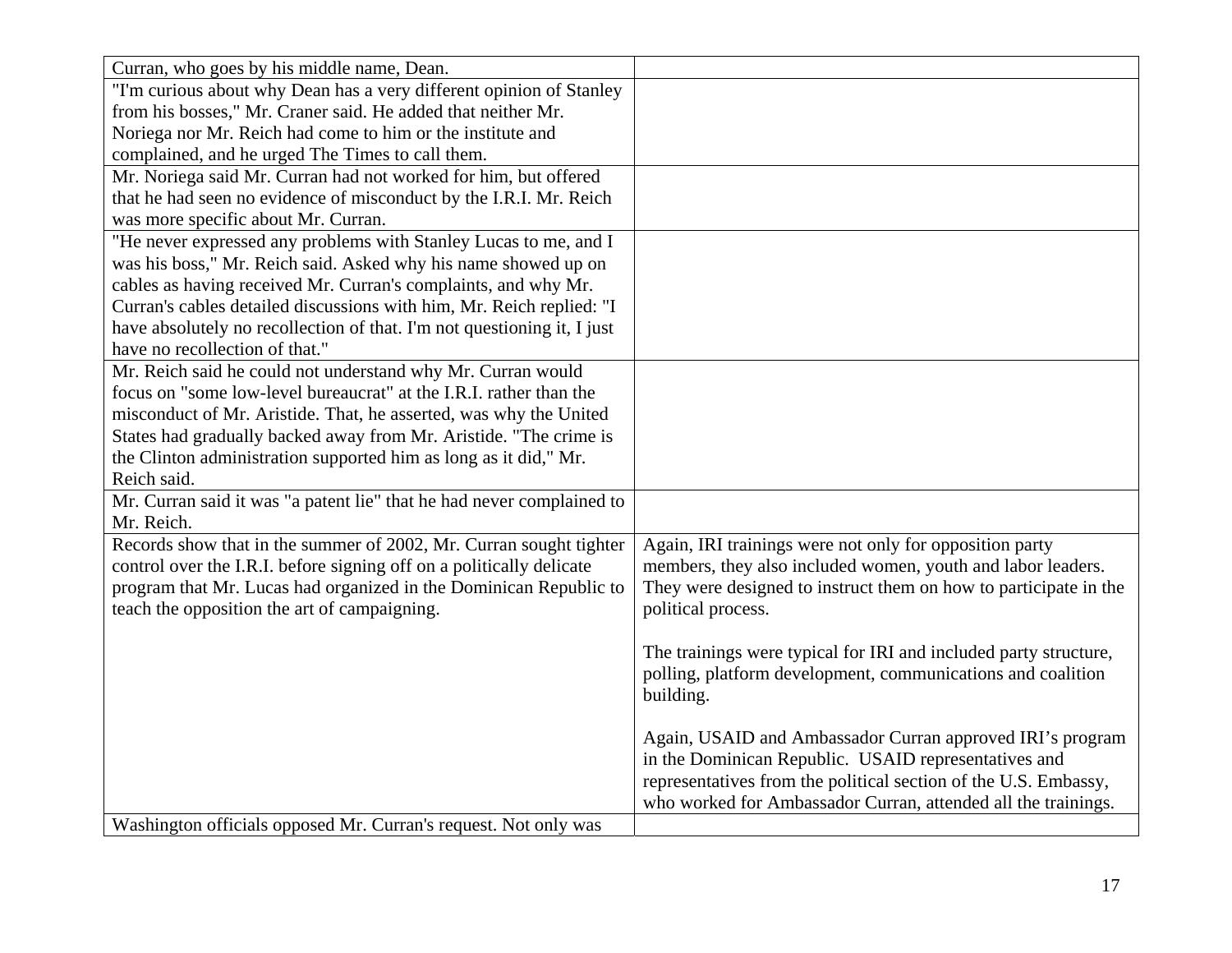| Curran, who goes by his middle name, Dean.                              |                                                                  |
|-------------------------------------------------------------------------|------------------------------------------------------------------|
| "I'm curious about why Dean has a very different opinion of Stanley     |                                                                  |
| from his bosses," Mr. Craner said. He added that neither Mr.            |                                                                  |
| Noriega nor Mr. Reich had come to him or the institute and              |                                                                  |
| complained, and he urged The Times to call them.                        |                                                                  |
| Mr. Noriega said Mr. Curran had not worked for him, but offered         |                                                                  |
| that he had seen no evidence of misconduct by the I.R.I. Mr. Reich      |                                                                  |
| was more specific about Mr. Curran.                                     |                                                                  |
| "He never expressed any problems with Stanley Lucas to me, and I        |                                                                  |
| was his boss," Mr. Reich said. Asked why his name showed up on          |                                                                  |
| cables as having received Mr. Curran's complaints, and why Mr.          |                                                                  |
| Curran's cables detailed discussions with him, Mr. Reich replied: "I    |                                                                  |
| have absolutely no recollection of that. I'm not questioning it, I just |                                                                  |
| have no recollection of that."                                          |                                                                  |
| Mr. Reich said he could not understand why Mr. Curran would             |                                                                  |
| focus on "some low-level bureaucrat" at the I.R.I. rather than the      |                                                                  |
| misconduct of Mr. Aristide. That, he asserted, was why the United       |                                                                  |
| States had gradually backed away from Mr. Aristide. "The crime is       |                                                                  |
| the Clinton administration supported him as long as it did," Mr.        |                                                                  |
| Reich said.                                                             |                                                                  |
| Mr. Curran said it was "a patent lie" that he had never complained to   |                                                                  |
| Mr. Reich.                                                              |                                                                  |
| Records show that in the summer of 2002, Mr. Curran sought tighter      | Again, IRI trainings were not only for opposition party          |
| control over the I.R.I. before signing off on a politically delicate    | members, they also included women, youth and labor leaders.      |
| program that Mr. Lucas had organized in the Dominican Republic to       | They were designed to instruct them on how to participate in the |
| teach the opposition the art of campaigning.                            | political process.                                               |
|                                                                         |                                                                  |
|                                                                         | The trainings were typical for IRI and included party structure, |
|                                                                         | polling, platform development, communications and coalition      |
|                                                                         | building.                                                        |
|                                                                         |                                                                  |
|                                                                         | Again, USAID and Ambassador Curran approved IRI's program        |
|                                                                         | in the Dominican Republic. USAID representatives and             |
|                                                                         | representatives from the political section of the U.S. Embassy,  |
|                                                                         | who worked for Ambassador Curran, attended all the trainings.    |
| Washington officials opposed Mr. Curran's request. Not only was         |                                                                  |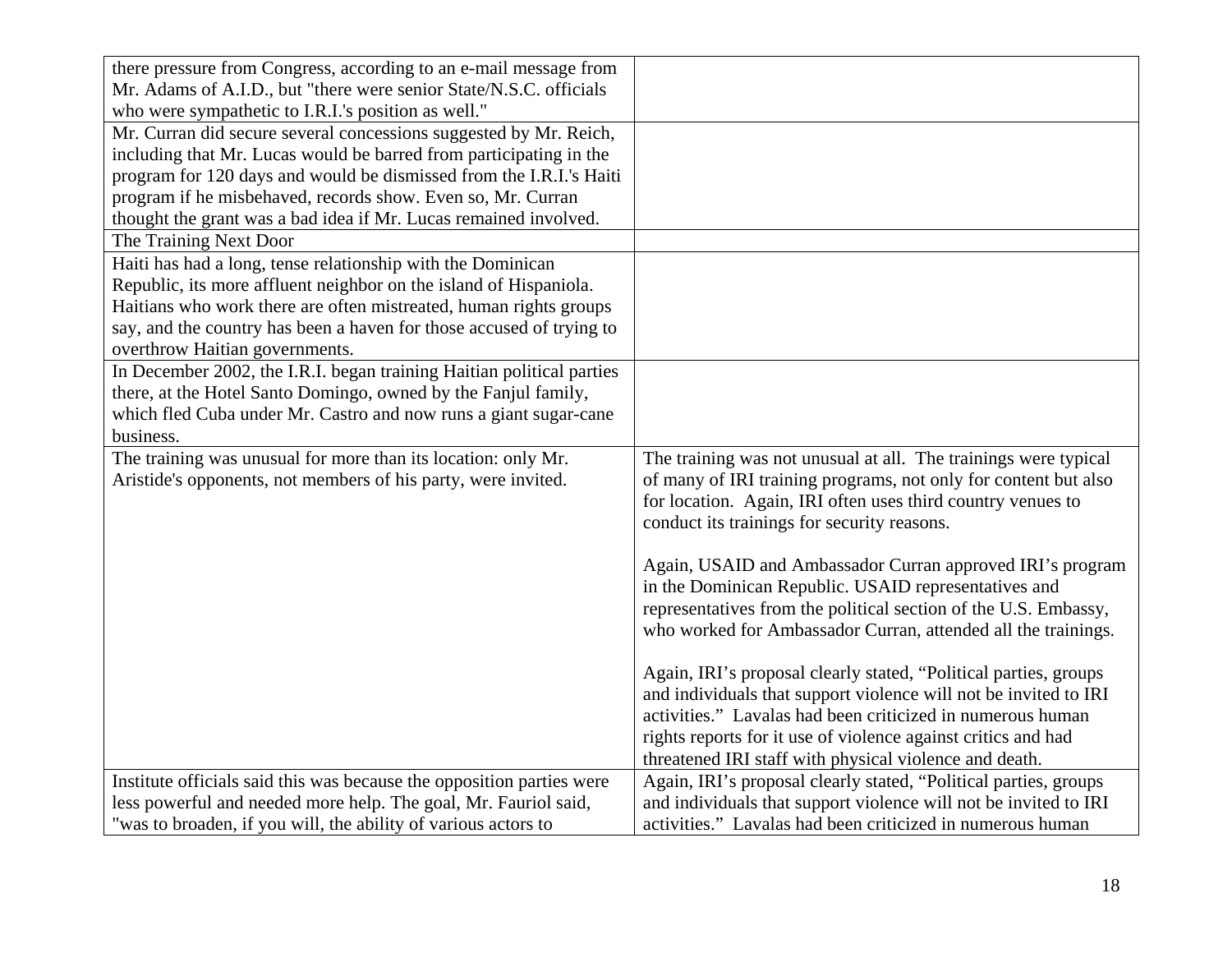| there pressure from Congress, according to an e-mail message from     |                                                                  |
|-----------------------------------------------------------------------|------------------------------------------------------------------|
| Mr. Adams of A.I.D., but "there were senior State/N.S.C. officials    |                                                                  |
| who were sympathetic to I.R.I.'s position as well."                   |                                                                  |
| Mr. Curran did secure several concessions suggested by Mr. Reich,     |                                                                  |
| including that Mr. Lucas would be barred from participating in the    |                                                                  |
| program for 120 days and would be dismissed from the I.R.I.'s Haiti   |                                                                  |
| program if he misbehaved, records show. Even so, Mr. Curran           |                                                                  |
| thought the grant was a bad idea if Mr. Lucas remained involved.      |                                                                  |
| The Training Next Door                                                |                                                                  |
| Haiti has had a long, tense relationship with the Dominican           |                                                                  |
| Republic, its more affluent neighbor on the island of Hispaniola.     |                                                                  |
| Haitians who work there are often mistreated, human rights groups     |                                                                  |
| say, and the country has been a haven for those accused of trying to  |                                                                  |
| overthrow Haitian governments.                                        |                                                                  |
| In December 2002, the I.R.I. began training Haitian political parties |                                                                  |
| there, at the Hotel Santo Domingo, owned by the Fanjul family,        |                                                                  |
| which fled Cuba under Mr. Castro and now runs a giant sugar-cane      |                                                                  |
| business.                                                             |                                                                  |
|                                                                       |                                                                  |
| The training was unusual for more than its location: only Mr.         | The training was not unusual at all. The trainings were typical  |
| Aristide's opponents, not members of his party, were invited.         | of many of IRI training programs, not only for content but also  |
|                                                                       | for location. Again, IRI often uses third country venues to      |
|                                                                       | conduct its trainings for security reasons.                      |
|                                                                       |                                                                  |
|                                                                       | Again, USAID and Ambassador Curran approved IRI's program        |
|                                                                       | in the Dominican Republic. USAID representatives and             |
|                                                                       | representatives from the political section of the U.S. Embassy,  |
|                                                                       | who worked for Ambassador Curran, attended all the trainings.    |
|                                                                       |                                                                  |
|                                                                       | Again, IRI's proposal clearly stated, "Political parties, groups |
|                                                                       | and individuals that support violence will not be invited to IRI |
|                                                                       | activities." Lavalas had been criticized in numerous human       |
|                                                                       | rights reports for it use of violence against critics and had    |
|                                                                       | threatened IRI staff with physical violence and death.           |
| Institute officials said this was because the opposition parties were | Again, IRI's proposal clearly stated, "Political parties, groups |
| less powerful and needed more help. The goal, Mr. Fauriol said,       | and individuals that support violence will not be invited to IRI |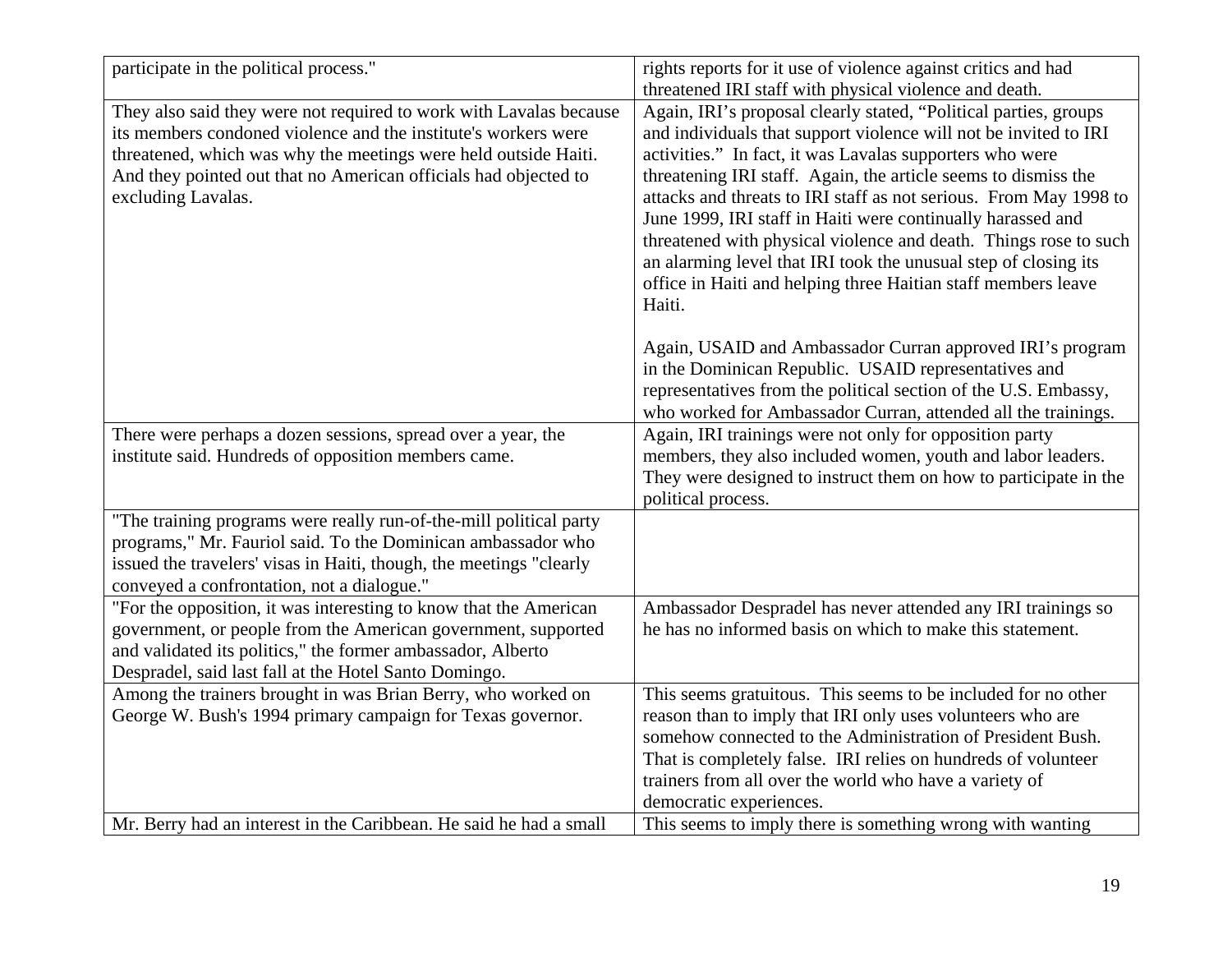| participate in the political process."                                                                                                                                                                                                                                                           | rights reports for it use of violence against critics and had<br>threatened IRI staff with physical violence and death.                                                                                                                                                                                                                                                                                                                                                                                                                                                                                                  |
|--------------------------------------------------------------------------------------------------------------------------------------------------------------------------------------------------------------------------------------------------------------------------------------------------|--------------------------------------------------------------------------------------------------------------------------------------------------------------------------------------------------------------------------------------------------------------------------------------------------------------------------------------------------------------------------------------------------------------------------------------------------------------------------------------------------------------------------------------------------------------------------------------------------------------------------|
| They also said they were not required to work with Lavalas because<br>its members condoned violence and the institute's workers were<br>threatened, which was why the meetings were held outside Haiti.<br>And they pointed out that no American officials had objected to<br>excluding Lavalas. | Again, IRI's proposal clearly stated, "Political parties, groups<br>and individuals that support violence will not be invited to IRI<br>activities." In fact, it was Lavalas supporters who were<br>threatening IRI staff. Again, the article seems to dismiss the<br>attacks and threats to IRI staff as not serious. From May 1998 to<br>June 1999, IRI staff in Haiti were continually harassed and<br>threatened with physical violence and death. Things rose to such<br>an alarming level that IRI took the unusual step of closing its<br>office in Haiti and helping three Haitian staff members leave<br>Haiti. |
|                                                                                                                                                                                                                                                                                                  | Again, USAID and Ambassador Curran approved IRI's program<br>in the Dominican Republic. USAID representatives and<br>representatives from the political section of the U.S. Embassy,<br>who worked for Ambassador Curran, attended all the trainings.                                                                                                                                                                                                                                                                                                                                                                    |
| There were perhaps a dozen sessions, spread over a year, the<br>institute said. Hundreds of opposition members came.                                                                                                                                                                             | Again, IRI trainings were not only for opposition party<br>members, they also included women, youth and labor leaders.<br>They were designed to instruct them on how to participate in the<br>political process.                                                                                                                                                                                                                                                                                                                                                                                                         |
| "The training programs were really run-of-the-mill political party<br>programs," Mr. Fauriol said. To the Dominican ambassador who<br>issued the travelers' visas in Haiti, though, the meetings "clearly<br>conveyed a confrontation, not a dialogue."                                          |                                                                                                                                                                                                                                                                                                                                                                                                                                                                                                                                                                                                                          |
| "For the opposition, it was interesting to know that the American<br>government, or people from the American government, supported<br>and validated its politics," the former ambassador, Alberto<br>Despradel, said last fall at the Hotel Santo Domingo.                                       | Ambassador Despradel has never attended any IRI trainings so<br>he has no informed basis on which to make this statement.                                                                                                                                                                                                                                                                                                                                                                                                                                                                                                |
| Among the trainers brought in was Brian Berry, who worked on<br>George W. Bush's 1994 primary campaign for Texas governor.<br>Mr. Berry had an interest in the Caribbean. He said he had a small                                                                                                 | This seems gratuitous. This seems to be included for no other<br>reason than to imply that IRI only uses volunteers who are<br>somehow connected to the Administration of President Bush.<br>That is completely false. IRI relies on hundreds of volunteer<br>trainers from all over the world who have a variety of<br>democratic experiences.<br>This seems to imply there is something wrong with wanting                                                                                                                                                                                                             |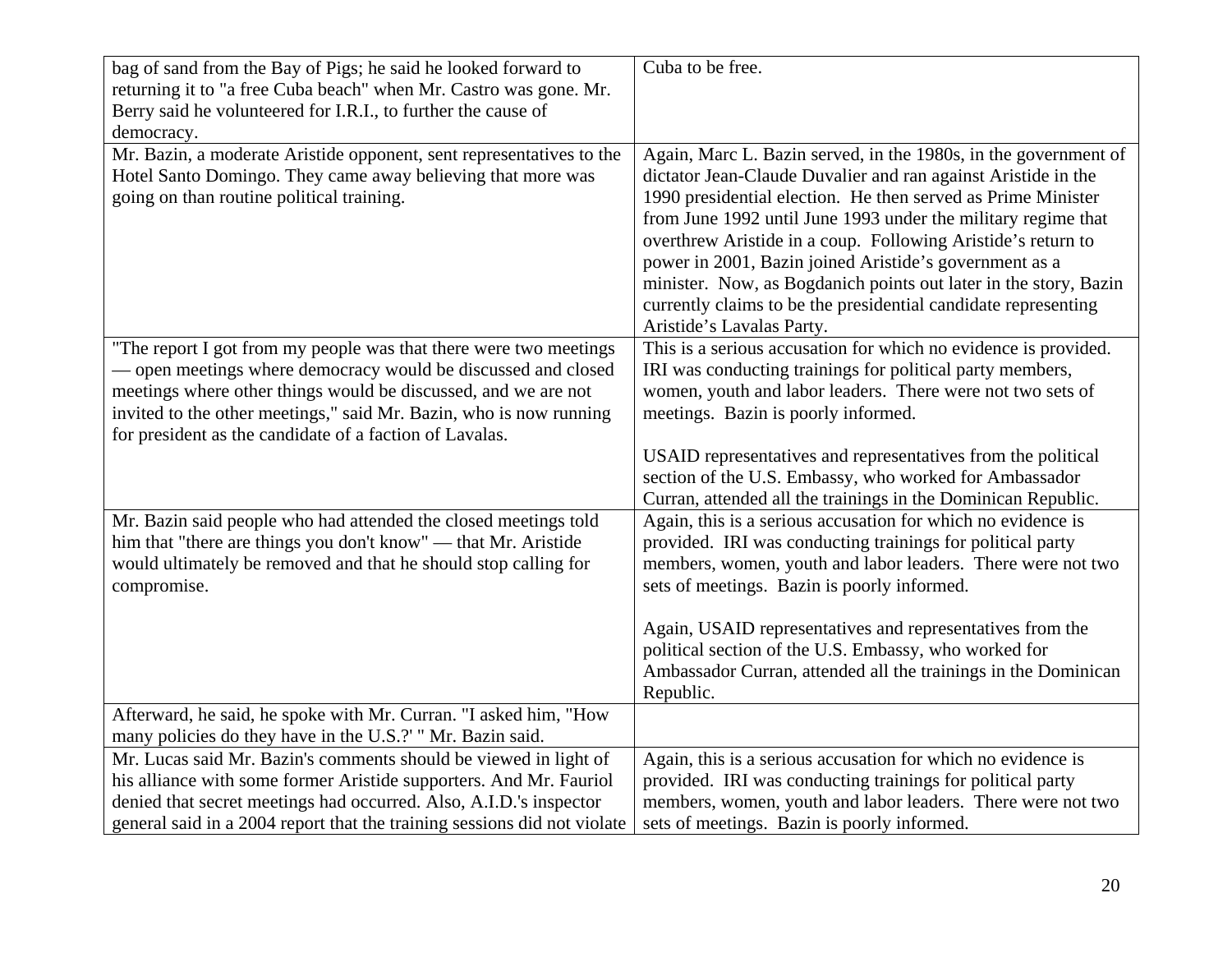| bag of sand from the Bay of Pigs; he said he looked forward to<br>returning it to "a free Cuba beach" when Mr. Castro was gone. Mr.<br>Berry said he volunteered for I.R.I., to further the cause of<br>democracy.                                                                                                                    | Cuba to be free.                                                                                                                                                                                                                                                                                                                                                                                                                                                                                                                                               |
|---------------------------------------------------------------------------------------------------------------------------------------------------------------------------------------------------------------------------------------------------------------------------------------------------------------------------------------|----------------------------------------------------------------------------------------------------------------------------------------------------------------------------------------------------------------------------------------------------------------------------------------------------------------------------------------------------------------------------------------------------------------------------------------------------------------------------------------------------------------------------------------------------------------|
| Mr. Bazin, a moderate Aristide opponent, sent representatives to the<br>Hotel Santo Domingo. They came away believing that more was<br>going on than routine political training.                                                                                                                                                      | Again, Marc L. Bazin served, in the 1980s, in the government of<br>dictator Jean-Claude Duvalier and ran against Aristide in the<br>1990 presidential election. He then served as Prime Minister<br>from June 1992 until June 1993 under the military regime that<br>overthrew Aristide in a coup. Following Aristide's return to<br>power in 2001, Bazin joined Aristide's government as a<br>minister. Now, as Bogdanich points out later in the story, Bazin<br>currently claims to be the presidential candidate representing<br>Aristide's Lavalas Party. |
| "The report I got from my people was that there were two meetings<br>- open meetings where democracy would be discussed and closed<br>meetings where other things would be discussed, and we are not<br>invited to the other meetings," said Mr. Bazin, who is now running<br>for president as the candidate of a faction of Lavalas. | This is a serious accusation for which no evidence is provided.<br>IRI was conducting trainings for political party members,<br>women, youth and labor leaders. There were not two sets of<br>meetings. Bazin is poorly informed.<br>USAID representatives and representatives from the political<br>section of the U.S. Embassy, who worked for Ambassador<br>Curran, attended all the trainings in the Dominican Republic.                                                                                                                                   |
| Mr. Bazin said people who had attended the closed meetings told<br>him that "there are things you don't know" - that Mr. Aristide<br>would ultimately be removed and that he should stop calling for<br>compromise.                                                                                                                   | Again, this is a serious accusation for which no evidence is<br>provided. IRI was conducting trainings for political party<br>members, women, youth and labor leaders. There were not two<br>sets of meetings. Bazin is poorly informed.<br>Again, USAID representatives and representatives from the<br>political section of the U.S. Embassy, who worked for<br>Ambassador Curran, attended all the trainings in the Dominican<br>Republic.                                                                                                                  |
| Afterward, he said, he spoke with Mr. Curran. "I asked him, "How<br>many policies do they have in the U.S.?' " Mr. Bazin said.                                                                                                                                                                                                        |                                                                                                                                                                                                                                                                                                                                                                                                                                                                                                                                                                |
| Mr. Lucas said Mr. Bazin's comments should be viewed in light of<br>his alliance with some former Aristide supporters. And Mr. Fauriol<br>denied that secret meetings had occurred. Also, A.I.D.'s inspector<br>general said in a 2004 report that the training sessions did not violate                                              | Again, this is a serious accusation for which no evidence is<br>provided. IRI was conducting trainings for political party<br>members, women, youth and labor leaders. There were not two<br>sets of meetings. Bazin is poorly informed.                                                                                                                                                                                                                                                                                                                       |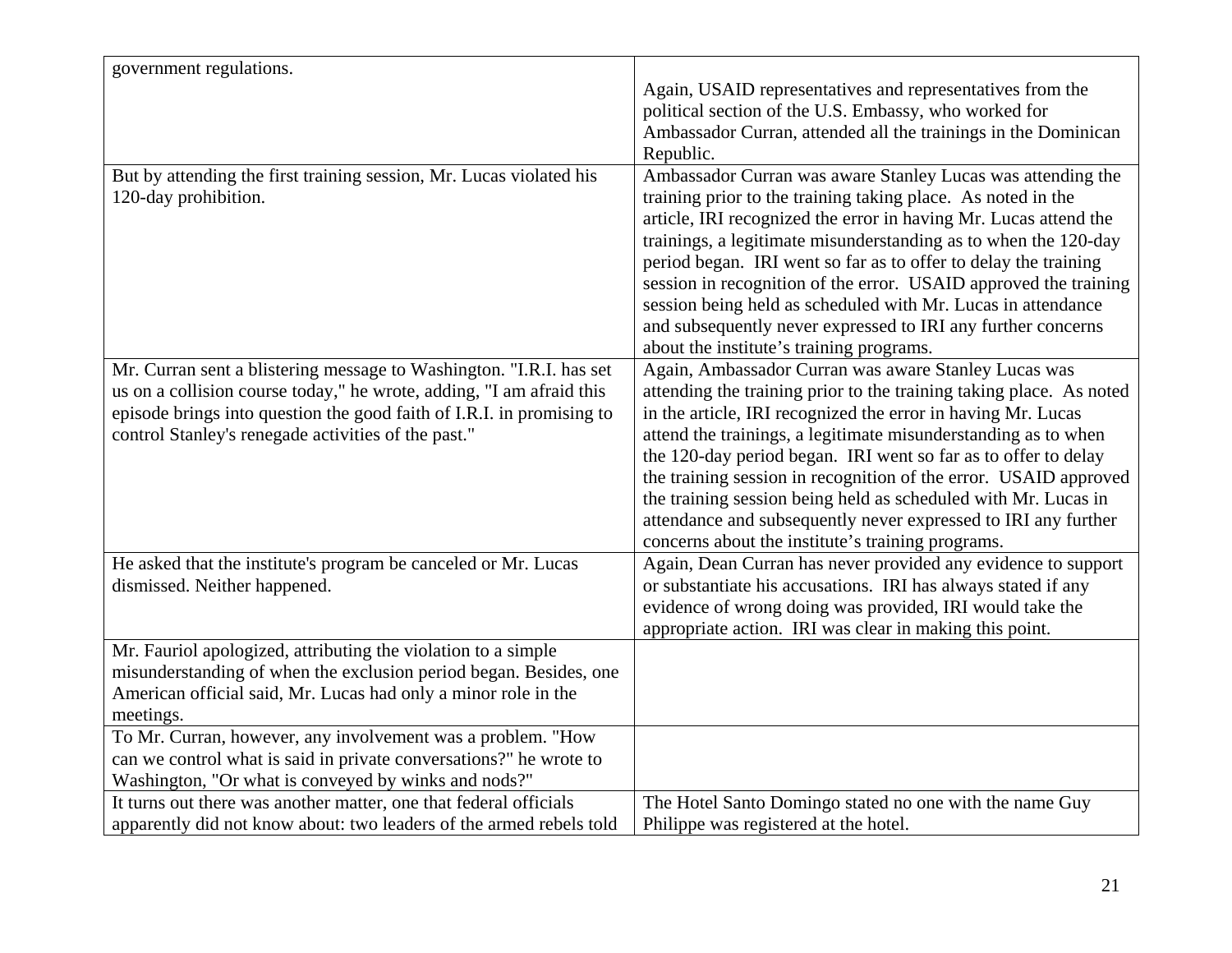| government regulations.                                                                                                                                                                                                                                                     |                                                                                                                                                                                                                                                                                                                                                                                                                                                                                                                                                                                              |
|-----------------------------------------------------------------------------------------------------------------------------------------------------------------------------------------------------------------------------------------------------------------------------|----------------------------------------------------------------------------------------------------------------------------------------------------------------------------------------------------------------------------------------------------------------------------------------------------------------------------------------------------------------------------------------------------------------------------------------------------------------------------------------------------------------------------------------------------------------------------------------------|
|                                                                                                                                                                                                                                                                             | Again, USAID representatives and representatives from the<br>political section of the U.S. Embassy, who worked for<br>Ambassador Curran, attended all the trainings in the Dominican<br>Republic.                                                                                                                                                                                                                                                                                                                                                                                            |
| But by attending the first training session, Mr. Lucas violated his<br>120-day prohibition.                                                                                                                                                                                 | Ambassador Curran was aware Stanley Lucas was attending the<br>training prior to the training taking place. As noted in the<br>article, IRI recognized the error in having Mr. Lucas attend the<br>trainings, a legitimate misunderstanding as to when the 120-day<br>period began. IRI went so far as to offer to delay the training<br>session in recognition of the error. USAID approved the training<br>session being held as scheduled with Mr. Lucas in attendance<br>and subsequently never expressed to IRI any further concerns<br>about the institute's training programs.        |
| Mr. Curran sent a blistering message to Washington. "I.R.I. has set<br>us on a collision course today," he wrote, adding, "I am afraid this<br>episode brings into question the good faith of I.R.I. in promising to<br>control Stanley's renegade activities of the past." | Again, Ambassador Curran was aware Stanley Lucas was<br>attending the training prior to the training taking place. As noted<br>in the article, IRI recognized the error in having Mr. Lucas<br>attend the trainings, a legitimate misunderstanding as to when<br>the 120-day period began. IRI went so far as to offer to delay<br>the training session in recognition of the error. USAID approved<br>the training session being held as scheduled with Mr. Lucas in<br>attendance and subsequently never expressed to IRI any further<br>concerns about the institute's training programs. |
| He asked that the institute's program be canceled or Mr. Lucas<br>dismissed. Neither happened.                                                                                                                                                                              | Again, Dean Curran has never provided any evidence to support<br>or substantiate his accusations. IRI has always stated if any<br>evidence of wrong doing was provided, IRI would take the<br>appropriate action. IRI was clear in making this point.                                                                                                                                                                                                                                                                                                                                        |
| Mr. Fauriol apologized, attributing the violation to a simple<br>misunderstanding of when the exclusion period began. Besides, one<br>American official said, Mr. Lucas had only a minor role in the<br>meetings.                                                           |                                                                                                                                                                                                                                                                                                                                                                                                                                                                                                                                                                                              |
| To Mr. Curran, however, any involvement was a problem. "How<br>can we control what is said in private conversations?" he wrote to<br>Washington, "Or what is conveyed by winks and nods?"                                                                                   |                                                                                                                                                                                                                                                                                                                                                                                                                                                                                                                                                                                              |
| It turns out there was another matter, one that federal officials<br>apparently did not know about: two leaders of the armed rebels told                                                                                                                                    | The Hotel Santo Domingo stated no one with the name Guy<br>Philippe was registered at the hotel.                                                                                                                                                                                                                                                                                                                                                                                                                                                                                             |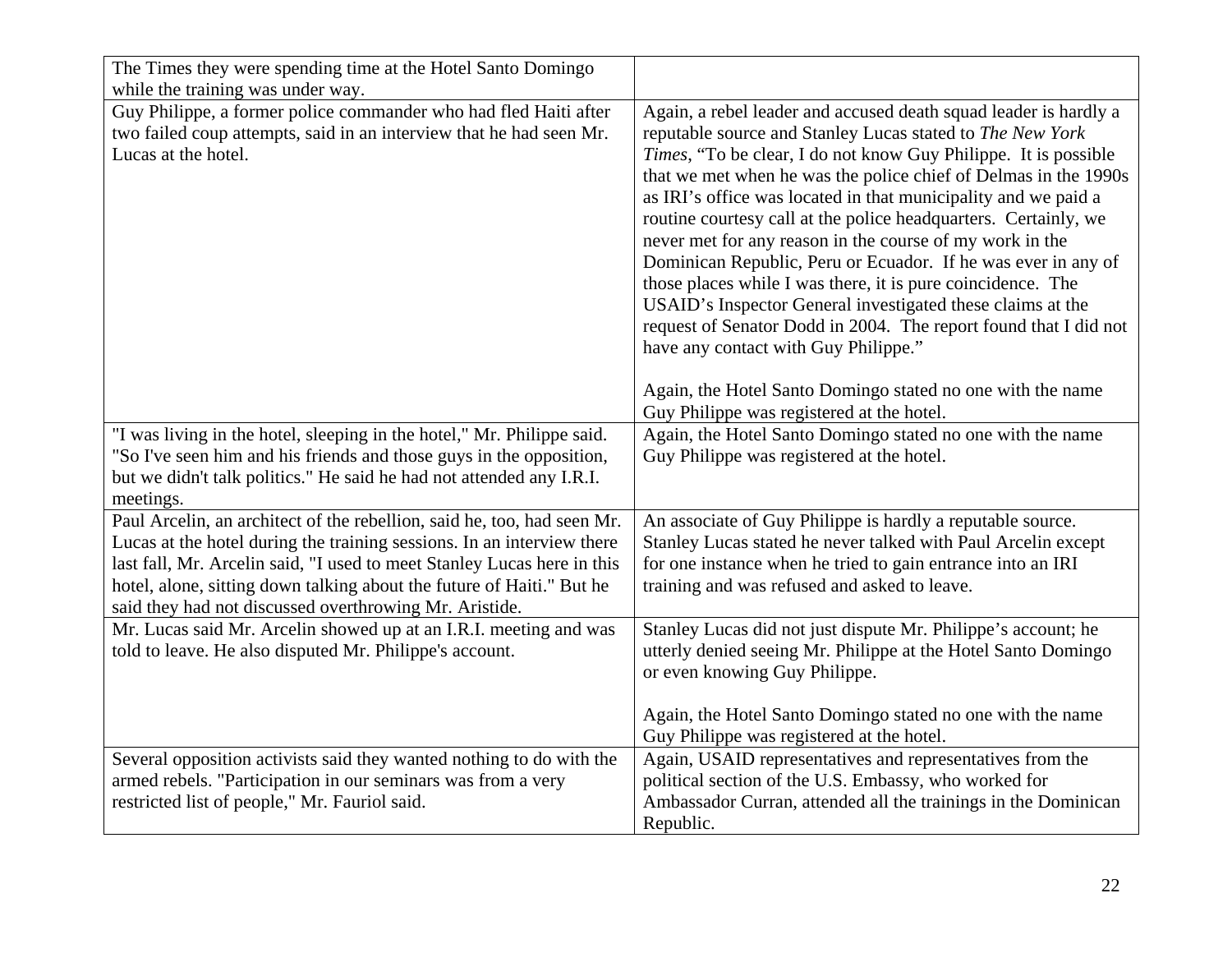| The Times they were spending time at the Hotel Santo Domingo                                                                                                                                                                                                                                                                                                    |                                                                                                                                                                                                                                                                                                                                                                                                                                                                                                                                                                                                                                                                                                                                                                                |
|-----------------------------------------------------------------------------------------------------------------------------------------------------------------------------------------------------------------------------------------------------------------------------------------------------------------------------------------------------------------|--------------------------------------------------------------------------------------------------------------------------------------------------------------------------------------------------------------------------------------------------------------------------------------------------------------------------------------------------------------------------------------------------------------------------------------------------------------------------------------------------------------------------------------------------------------------------------------------------------------------------------------------------------------------------------------------------------------------------------------------------------------------------------|
| while the training was under way.<br>Guy Philippe, a former police commander who had fled Haiti after<br>two failed coup attempts, said in an interview that he had seen Mr.<br>Lucas at the hotel.                                                                                                                                                             | Again, a rebel leader and accused death squad leader is hardly a<br>reputable source and Stanley Lucas stated to The New York<br>Times, "To be clear, I do not know Guy Philippe. It is possible<br>that we met when he was the police chief of Delmas in the 1990s<br>as IRI's office was located in that municipality and we paid a<br>routine courtesy call at the police headquarters. Certainly, we<br>never met for any reason in the course of my work in the<br>Dominican Republic, Peru or Ecuador. If he was ever in any of<br>those places while I was there, it is pure coincidence. The<br>USAID's Inspector General investigated these claims at the<br>request of Senator Dodd in 2004. The report found that I did not<br>have any contact with Guy Philippe." |
| "I was living in the hotel, sleeping in the hotel," Mr. Philippe said.<br>"So I've seen him and his friends and those guys in the opposition,<br>but we didn't talk politics." He said he had not attended any I.R.I.<br>meetings.                                                                                                                              | Again, the Hotel Santo Domingo stated no one with the name<br>Guy Philippe was registered at the hotel.<br>Again, the Hotel Santo Domingo stated no one with the name<br>Guy Philippe was registered at the hotel.                                                                                                                                                                                                                                                                                                                                                                                                                                                                                                                                                             |
| Paul Arcelin, an architect of the rebellion, said he, too, had seen Mr.<br>Lucas at the hotel during the training sessions. In an interview there<br>last fall, Mr. Arcelin said, "I used to meet Stanley Lucas here in this<br>hotel, alone, sitting down talking about the future of Haiti." But he<br>said they had not discussed overthrowing Mr. Aristide. | An associate of Guy Philippe is hardly a reputable source.<br>Stanley Lucas stated he never talked with Paul Arcelin except<br>for one instance when he tried to gain entrance into an IRI<br>training and was refused and asked to leave.                                                                                                                                                                                                                                                                                                                                                                                                                                                                                                                                     |
| Mr. Lucas said Mr. Arcelin showed up at an I.R.I. meeting and was<br>told to leave. He also disputed Mr. Philippe's account.                                                                                                                                                                                                                                    | Stanley Lucas did not just dispute Mr. Philippe's account; he<br>utterly denied seeing Mr. Philippe at the Hotel Santo Domingo<br>or even knowing Guy Philippe.<br>Again, the Hotel Santo Domingo stated no one with the name<br>Guy Philippe was registered at the hotel.                                                                                                                                                                                                                                                                                                                                                                                                                                                                                                     |
| Several opposition activists said they wanted nothing to do with the<br>armed rebels. "Participation in our seminars was from a very<br>restricted list of people," Mr. Fauriol said.                                                                                                                                                                           | Again, USAID representatives and representatives from the<br>political section of the U.S. Embassy, who worked for<br>Ambassador Curran, attended all the trainings in the Dominican<br>Republic.                                                                                                                                                                                                                                                                                                                                                                                                                                                                                                                                                                              |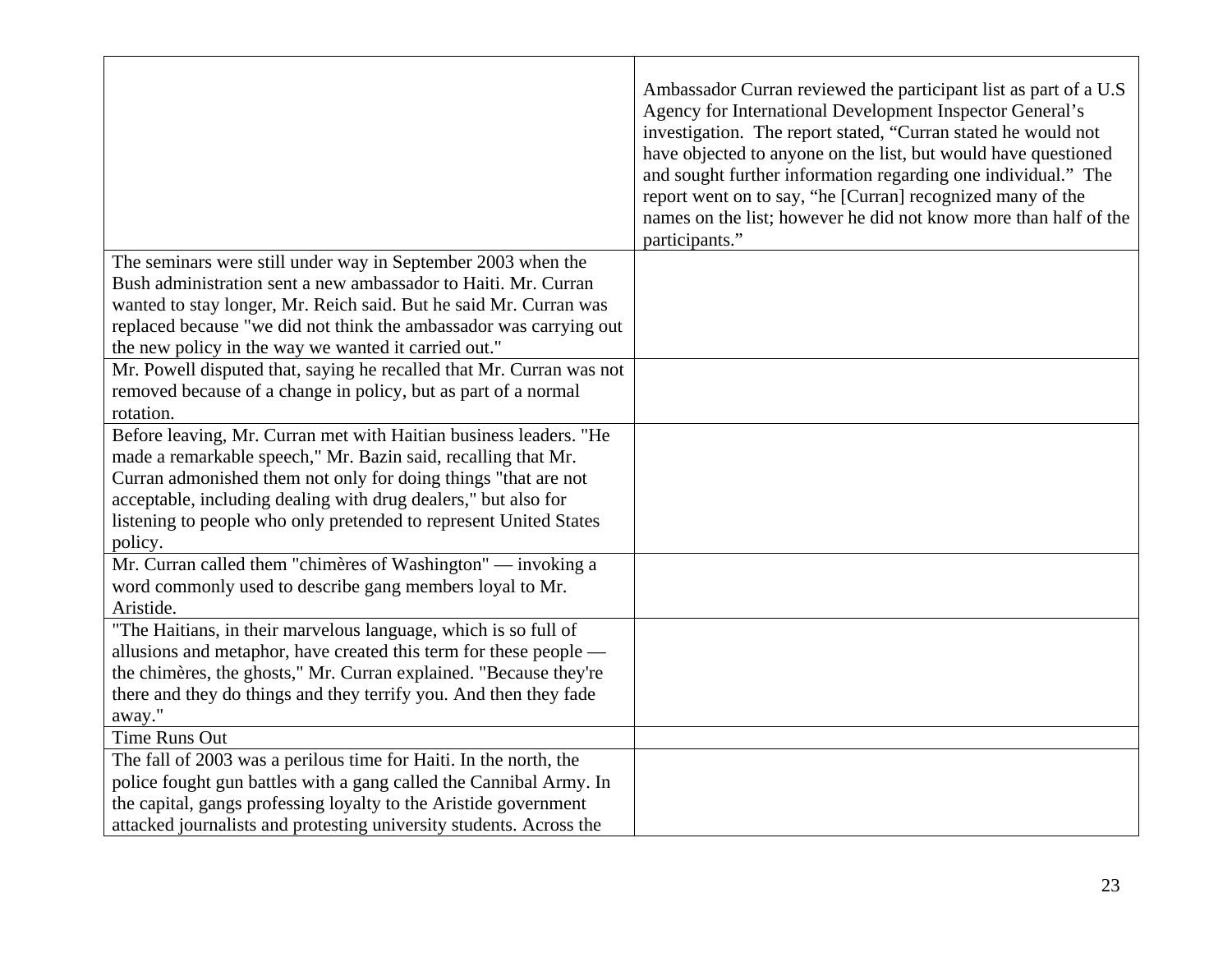|                                                                         | Ambassador Curran reviewed the participant list as part of a U.S<br>Agency for International Development Inspector General's<br>investigation. The report stated, "Curran stated he would not<br>have objected to anyone on the list, but would have questioned<br>and sought further information regarding one individual." The<br>report went on to say, "he [Curran] recognized many of the<br>names on the list; however he did not know more than half of the<br>participants." |
|-------------------------------------------------------------------------|--------------------------------------------------------------------------------------------------------------------------------------------------------------------------------------------------------------------------------------------------------------------------------------------------------------------------------------------------------------------------------------------------------------------------------------------------------------------------------------|
| The seminars were still under way in September 2003 when the            |                                                                                                                                                                                                                                                                                                                                                                                                                                                                                      |
| Bush administration sent a new ambassador to Haiti. Mr. Curran          |                                                                                                                                                                                                                                                                                                                                                                                                                                                                                      |
| wanted to stay longer, Mr. Reich said. But he said Mr. Curran was       |                                                                                                                                                                                                                                                                                                                                                                                                                                                                                      |
| replaced because "we did not think the ambassador was carrying out      |                                                                                                                                                                                                                                                                                                                                                                                                                                                                                      |
| the new policy in the way we wanted it carried out."                    |                                                                                                                                                                                                                                                                                                                                                                                                                                                                                      |
| Mr. Powell disputed that, saying he recalled that Mr. Curran was not    |                                                                                                                                                                                                                                                                                                                                                                                                                                                                                      |
| removed because of a change in policy, but as part of a normal          |                                                                                                                                                                                                                                                                                                                                                                                                                                                                                      |
| rotation.                                                               |                                                                                                                                                                                                                                                                                                                                                                                                                                                                                      |
| Before leaving, Mr. Curran met with Haitian business leaders. "He       |                                                                                                                                                                                                                                                                                                                                                                                                                                                                                      |
| made a remarkable speech," Mr. Bazin said, recalling that Mr.           |                                                                                                                                                                                                                                                                                                                                                                                                                                                                                      |
| Curran admonished them not only for doing things "that are not          |                                                                                                                                                                                                                                                                                                                                                                                                                                                                                      |
| acceptable, including dealing with drug dealers," but also for          |                                                                                                                                                                                                                                                                                                                                                                                                                                                                                      |
| listening to people who only pretended to represent United States       |                                                                                                                                                                                                                                                                                                                                                                                                                                                                                      |
| policy.<br>Mr. Curran called them "chimères of Washington" — invoking a |                                                                                                                                                                                                                                                                                                                                                                                                                                                                                      |
| word commonly used to describe gang members loyal to Mr.                |                                                                                                                                                                                                                                                                                                                                                                                                                                                                                      |
| Aristide.                                                               |                                                                                                                                                                                                                                                                                                                                                                                                                                                                                      |
| "The Haitians, in their marvelous language, which is so full of         |                                                                                                                                                                                                                                                                                                                                                                                                                                                                                      |
| allusions and metaphor, have created this term for these people —       |                                                                                                                                                                                                                                                                                                                                                                                                                                                                                      |
| the chimères, the ghosts," Mr. Curran explained. "Because they're       |                                                                                                                                                                                                                                                                                                                                                                                                                                                                                      |
| there and they do things and they terrify you. And then they fade       |                                                                                                                                                                                                                                                                                                                                                                                                                                                                                      |
| away."                                                                  |                                                                                                                                                                                                                                                                                                                                                                                                                                                                                      |
| Time Runs Out                                                           |                                                                                                                                                                                                                                                                                                                                                                                                                                                                                      |
| The fall of 2003 was a perilous time for Haiti. In the north, the       |                                                                                                                                                                                                                                                                                                                                                                                                                                                                                      |
| police fought gun battles with a gang called the Cannibal Army. In      |                                                                                                                                                                                                                                                                                                                                                                                                                                                                                      |
| the capital, gangs professing loyalty to the Aristide government        |                                                                                                                                                                                                                                                                                                                                                                                                                                                                                      |
| attacked journalists and protesting university students. Across the     |                                                                                                                                                                                                                                                                                                                                                                                                                                                                                      |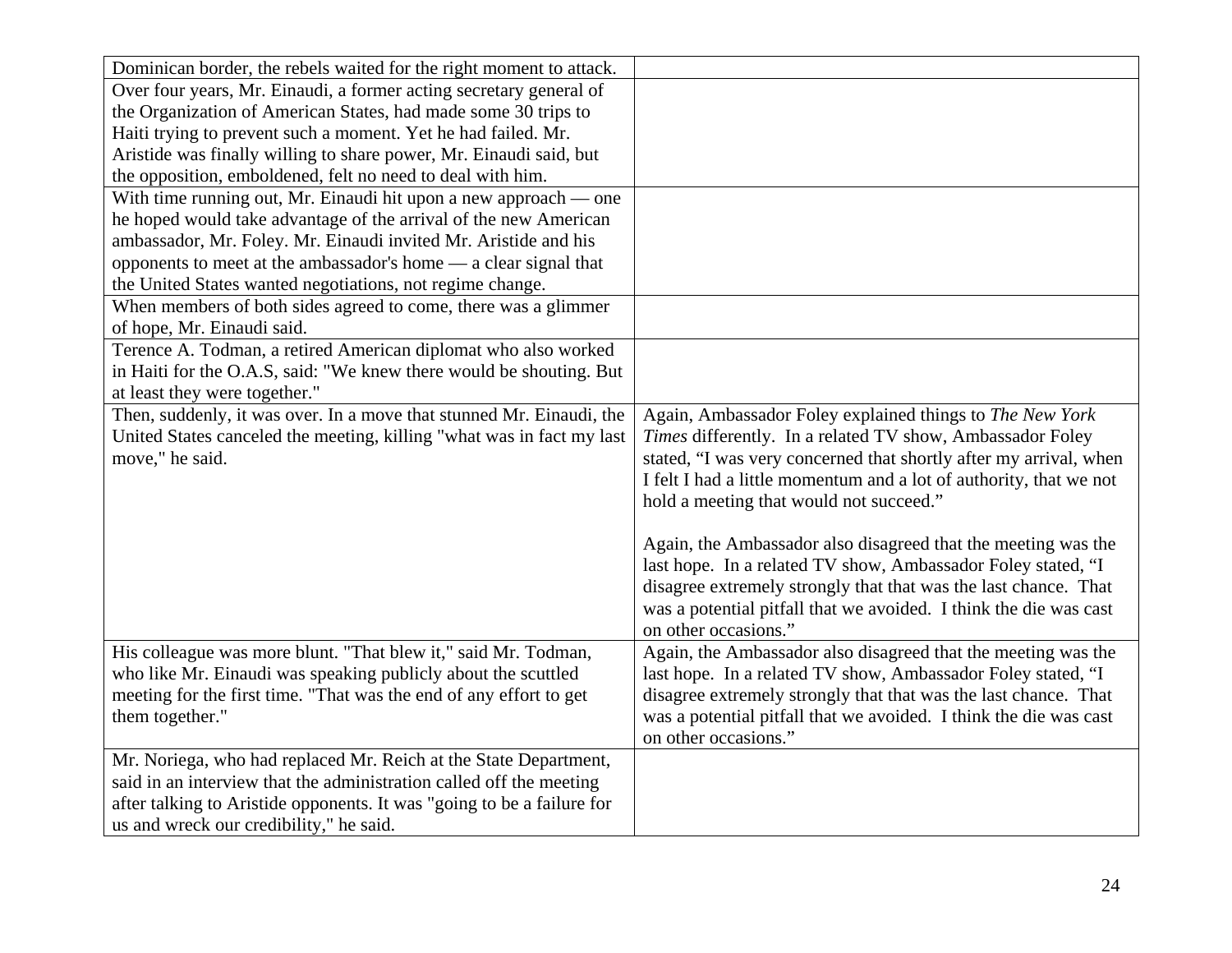| Dominican border, the rebels waited for the right moment to attack.    |                                                                    |
|------------------------------------------------------------------------|--------------------------------------------------------------------|
| Over four years, Mr. Einaudi, a former acting secretary general of     |                                                                    |
| the Organization of American States, had made some 30 trips to         |                                                                    |
| Haiti trying to prevent such a moment. Yet he had failed. Mr.          |                                                                    |
| Aristide was finally willing to share power, Mr. Einaudi said, but     |                                                                    |
| the opposition, emboldened, felt no need to deal with him.             |                                                                    |
| With time running out, Mr. Einaudi hit upon a new approach — one       |                                                                    |
| he hoped would take advantage of the arrival of the new American       |                                                                    |
| ambassador, Mr. Foley. Mr. Einaudi invited Mr. Aristide and his        |                                                                    |
| opponents to meet at the ambassador's home — a clear signal that       |                                                                    |
| the United States wanted negotiations, not regime change.              |                                                                    |
| When members of both sides agreed to come, there was a glimmer         |                                                                    |
| of hope, Mr. Einaudi said.                                             |                                                                    |
| Terence A. Todman, a retired American diplomat who also worked         |                                                                    |
| in Haiti for the O.A.S, said: "We knew there would be shouting. But    |                                                                    |
| at least they were together."                                          |                                                                    |
| Then, suddenly, it was over. In a move that stunned Mr. Einaudi, the   | Again, Ambassador Foley explained things to The New York           |
| United States canceled the meeting, killing "what was in fact my last  | Times differently. In a related TV show, Ambassador Foley          |
| move," he said.                                                        | stated, "I was very concerned that shortly after my arrival, when  |
|                                                                        | I felt I had a little momentum and a lot of authority, that we not |
|                                                                        | hold a meeting that would not succeed."                            |
|                                                                        |                                                                    |
|                                                                        | Again, the Ambassador also disagreed that the meeting was the      |
|                                                                        | last hope. In a related TV show, Ambassador Foley stated, "I       |
|                                                                        | disagree extremely strongly that that was the last chance. That    |
|                                                                        | was a potential pitfall that we avoided. I think the die was cast  |
|                                                                        | on other occasions."                                               |
| His colleague was more blunt. "That blew it," said Mr. Todman,         | Again, the Ambassador also disagreed that the meeting was the      |
| who like Mr. Einaudi was speaking publicly about the scuttled          | last hope. In a related TV show, Ambassador Foley stated, "I       |
| meeting for the first time. "That was the end of any effort to get     | disagree extremely strongly that that was the last chance. That    |
| them together."                                                        | was a potential pitfall that we avoided. I think the die was cast  |
|                                                                        | on other occasions."                                               |
| Mr. Noriega, who had replaced Mr. Reich at the State Department,       |                                                                    |
| said in an interview that the administration called off the meeting    |                                                                    |
| after talking to Aristide opponents. It was "going to be a failure for |                                                                    |
| us and wreck our credibility," he said.                                |                                                                    |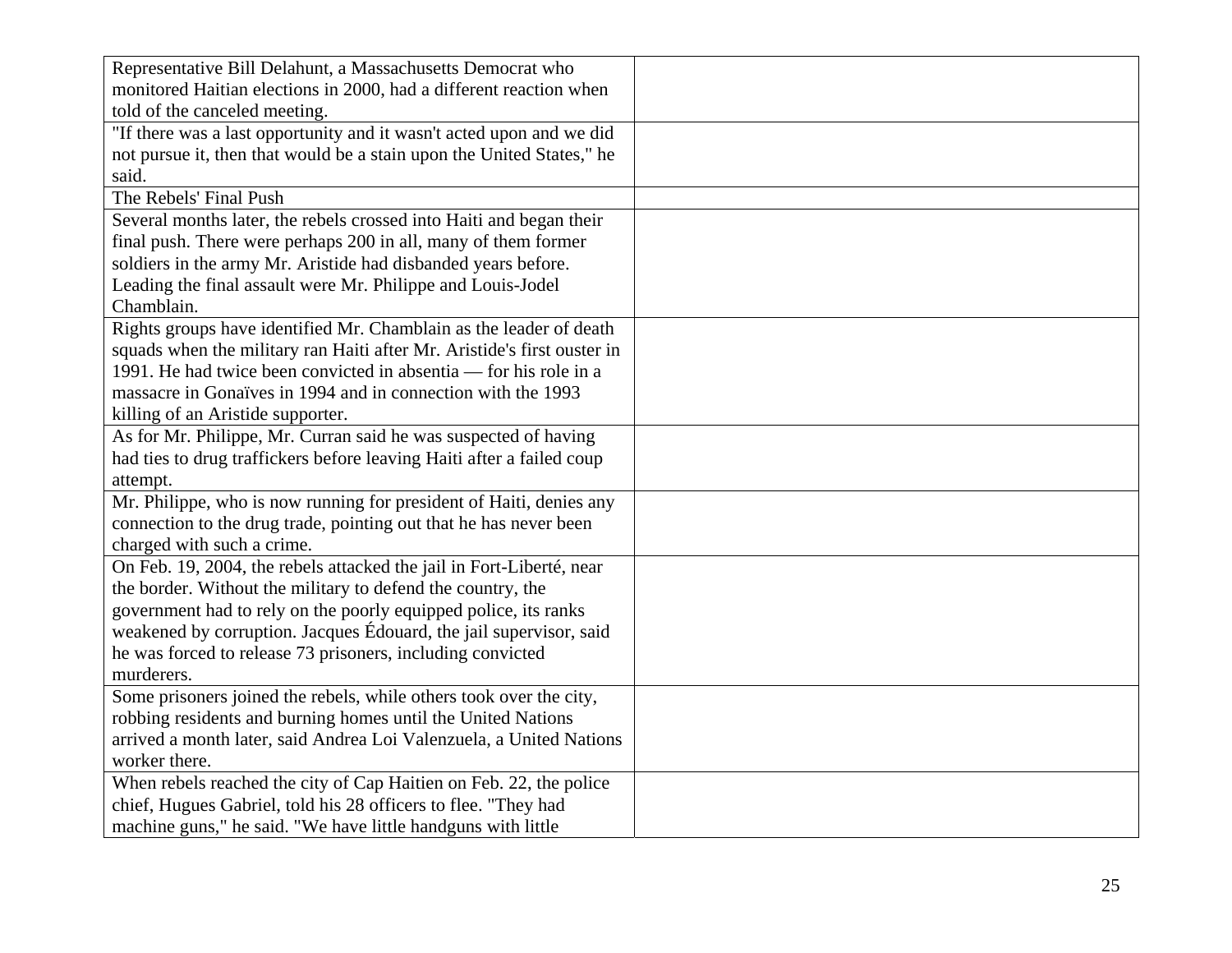| Representative Bill Delahunt, a Massachusetts Democrat who              |  |
|-------------------------------------------------------------------------|--|
| monitored Haitian elections in 2000, had a different reaction when      |  |
| told of the canceled meeting.                                           |  |
| "If there was a last opportunity and it wasn't acted upon and we did    |  |
| not pursue it, then that would be a stain upon the United States," he   |  |
| said.                                                                   |  |
| The Rebels' Final Push                                                  |  |
| Several months later, the rebels crossed into Haiti and began their     |  |
| final push. There were perhaps 200 in all, many of them former          |  |
| soldiers in the army Mr. Aristide had disbanded years before.           |  |
| Leading the final assault were Mr. Philippe and Louis-Jodel             |  |
| Chamblain.                                                              |  |
| Rights groups have identified Mr. Chamblain as the leader of death      |  |
| squads when the military ran Haiti after Mr. Aristide's first ouster in |  |
| 1991. He had twice been convicted in absentia — for his role in a       |  |
| massacre in Gonaïves in 1994 and in connection with the 1993            |  |
| killing of an Aristide supporter.                                       |  |
| As for Mr. Philippe, Mr. Curran said he was suspected of having         |  |
| had ties to drug traffickers before leaving Haiti after a failed coup   |  |
| attempt.                                                                |  |
| Mr. Philippe, who is now running for president of Haiti, denies any     |  |
| connection to the drug trade, pointing out that he has never been       |  |
| charged with such a crime.                                              |  |
| On Feb. 19, 2004, the rebels attacked the jail in Fort-Liberté, near    |  |
| the border. Without the military to defend the country, the             |  |
| government had to rely on the poorly equipped police, its ranks         |  |
| weakened by corruption. Jacques Édouard, the jail supervisor, said      |  |
| he was forced to release 73 prisoners, including convicted              |  |
| murderers.                                                              |  |
| Some prisoners joined the rebels, while others took over the city,      |  |
| robbing residents and burning homes until the United Nations            |  |
| arrived a month later, said Andrea Loi Valenzuela, a United Nations     |  |
| worker there.                                                           |  |
| When rebels reached the city of Cap Haitien on Feb. 22, the police      |  |
| chief, Hugues Gabriel, told his 28 officers to flee. "They had          |  |
| machine guns," he said. "We have little handguns with little            |  |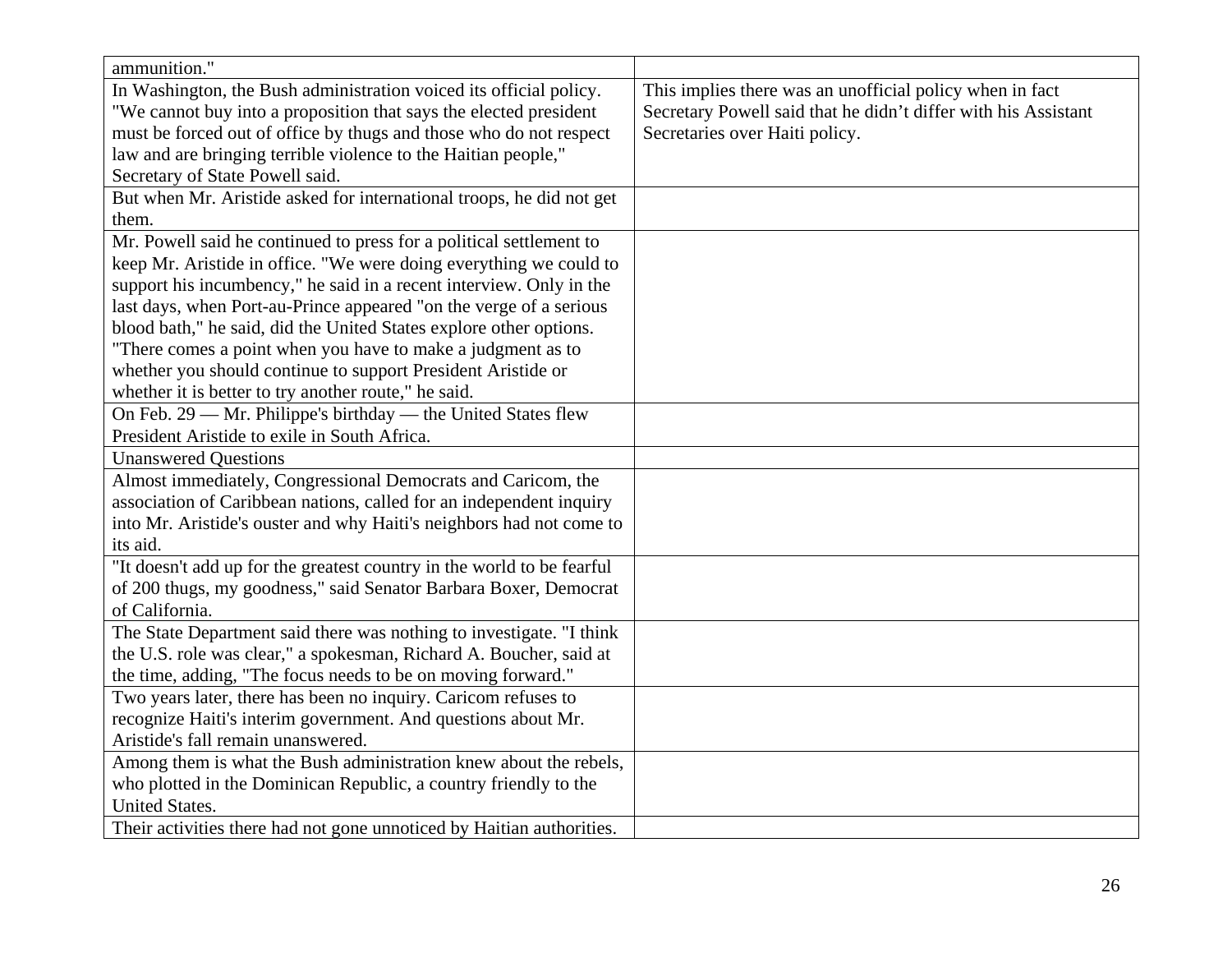| ammunition."                                                           |                                                                |
|------------------------------------------------------------------------|----------------------------------------------------------------|
| In Washington, the Bush administration voiced its official policy.     | This implies there was an unofficial policy when in fact       |
| "We cannot buy into a proposition that says the elected president      | Secretary Powell said that he didn't differ with his Assistant |
| must be forced out of office by thugs and those who do not respect     | Secretaries over Haiti policy.                                 |
| law and are bringing terrible violence to the Haitian people,"         |                                                                |
| Secretary of State Powell said.                                        |                                                                |
| But when Mr. Aristide asked for international troops, he did not get   |                                                                |
| them.                                                                  |                                                                |
| Mr. Powell said he continued to press for a political settlement to    |                                                                |
| keep Mr. Aristide in office. "We were doing everything we could to     |                                                                |
| support his incumbency," he said in a recent interview. Only in the    |                                                                |
| last days, when Port-au-Prince appeared "on the verge of a serious     |                                                                |
| blood bath," he said, did the United States explore other options.     |                                                                |
| "There comes a point when you have to make a judgment as to            |                                                                |
| whether you should continue to support President Aristide or           |                                                                |
| whether it is better to try another route," he said.                   |                                                                |
| On Feb. 29 — Mr. Philippe's birthday — the United States flew          |                                                                |
| President Aristide to exile in South Africa.                           |                                                                |
| <b>Unanswered Questions</b>                                            |                                                                |
| Almost immediately, Congressional Democrats and Caricom, the           |                                                                |
| association of Caribbean nations, called for an independent inquiry    |                                                                |
| into Mr. Aristide's ouster and why Haiti's neighbors had not come to   |                                                                |
| its aid.                                                               |                                                                |
| "It doesn't add up for the greatest country in the world to be fearful |                                                                |
| of 200 thugs, my goodness," said Senator Barbara Boxer, Democrat       |                                                                |
| of California.                                                         |                                                                |
| The State Department said there was nothing to investigate. "I think   |                                                                |
| the U.S. role was clear," a spokesman, Richard A. Boucher, said at     |                                                                |
| the time, adding, "The focus needs to be on moving forward."           |                                                                |
| Two years later, there has been no inquiry. Caricom refuses to         |                                                                |
| recognize Haiti's interim government. And questions about Mr.          |                                                                |
| Aristide's fall remain unanswered.                                     |                                                                |
| Among them is what the Bush administration knew about the rebels,      |                                                                |
| who plotted in the Dominican Republic, a country friendly to the       |                                                                |
| <b>United States.</b>                                                  |                                                                |
| Their activities there had not gone unnoticed by Haitian authorities.  |                                                                |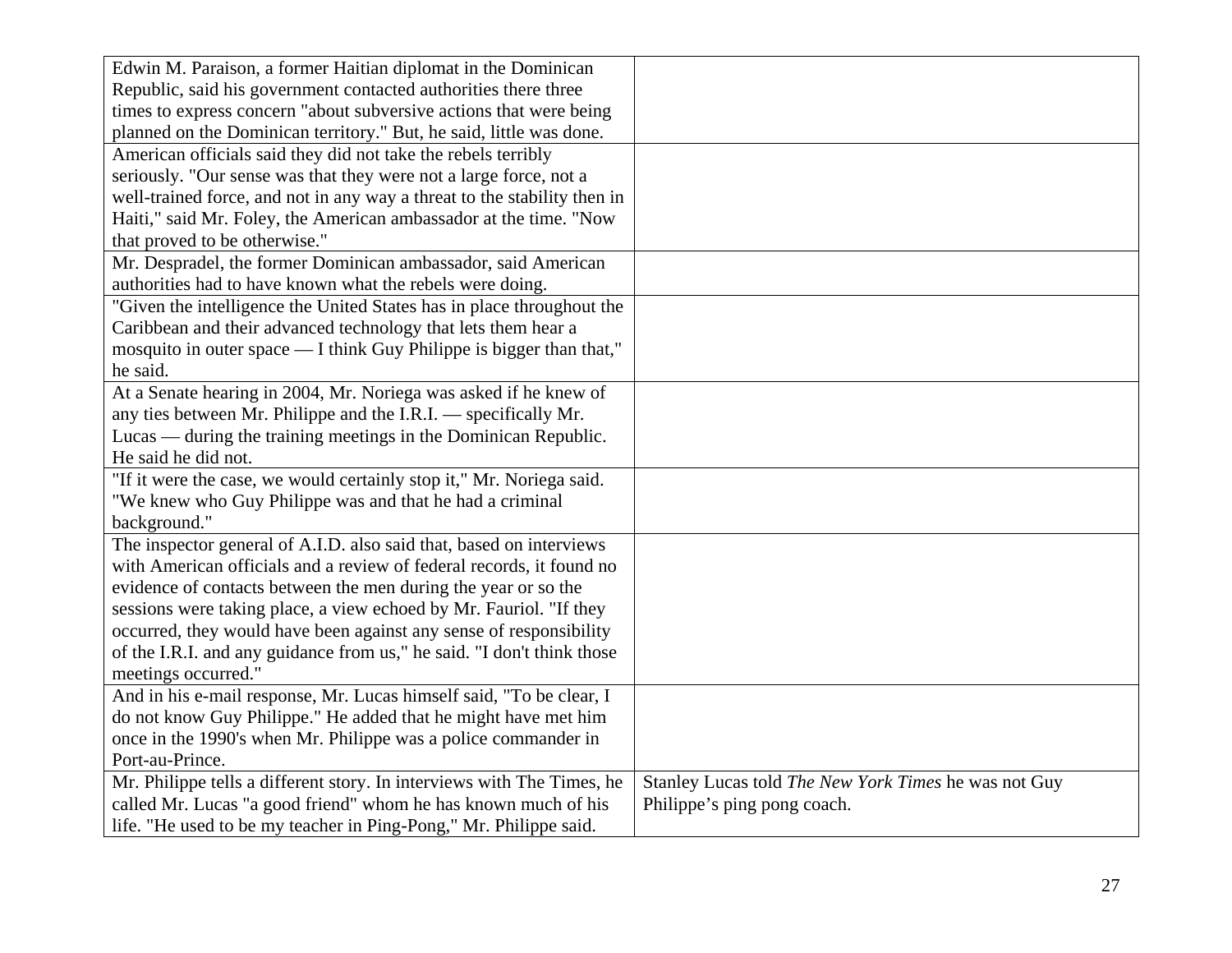| Edwin M. Paraison, a former Haitian diplomat in the Dominican            |                                                      |
|--------------------------------------------------------------------------|------------------------------------------------------|
| Republic, said his government contacted authorities there three          |                                                      |
| times to express concern "about subversive actions that were being       |                                                      |
| planned on the Dominican territory." But, he said, little was done.      |                                                      |
| American officials said they did not take the rebels terribly            |                                                      |
| seriously. "Our sense was that they were not a large force, not a        |                                                      |
| well-trained force, and not in any way a threat to the stability then in |                                                      |
| Haiti," said Mr. Foley, the American ambassador at the time. "Now        |                                                      |
| that proved to be otherwise."                                            |                                                      |
| Mr. Despradel, the former Dominican ambassador, said American            |                                                      |
| authorities had to have known what the rebels were doing.                |                                                      |
| "Given the intelligence the United States has in place throughout the    |                                                      |
| Caribbean and their advanced technology that lets them hear a            |                                                      |
| mosquito in outer space — I think Guy Philippe is bigger than that,"     |                                                      |
| he said.                                                                 |                                                      |
| At a Senate hearing in 2004, Mr. Noriega was asked if he knew of         |                                                      |
| any ties between Mr. Philippe and the I.R.I. — specifically Mr.          |                                                      |
| Lucas — during the training meetings in the Dominican Republic.          |                                                      |
| He said he did not.                                                      |                                                      |
| "If it were the case, we would certainly stop it," Mr. Noriega said.     |                                                      |
| "We knew who Guy Philippe was and that he had a criminal                 |                                                      |
| background."                                                             |                                                      |
| The inspector general of A.I.D. also said that, based on interviews      |                                                      |
| with American officials and a review of federal records, it found no     |                                                      |
| evidence of contacts between the men during the year or so the           |                                                      |
| sessions were taking place, a view echoed by Mr. Fauriol. "If they       |                                                      |
| occurred, they would have been against any sense of responsibility       |                                                      |
| of the I.R.I. and any guidance from us," he said. "I don't think those   |                                                      |
| meetings occurred."                                                      |                                                      |
| And in his e-mail response, Mr. Lucas himself said, "To be clear, I      |                                                      |
| do not know Guy Philippe." He added that he might have met him           |                                                      |
| once in the 1990's when Mr. Philippe was a police commander in           |                                                      |
| Port-au-Prince.                                                          |                                                      |
| Mr. Philippe tells a different story. In interviews with The Times, he   | Stanley Lucas told The New York Times he was not Guy |
| called Mr. Lucas "a good friend" whom he has known much of his           | Philippe's ping pong coach.                          |
| life. "He used to be my teacher in Ping-Pong," Mr. Philippe said.        |                                                      |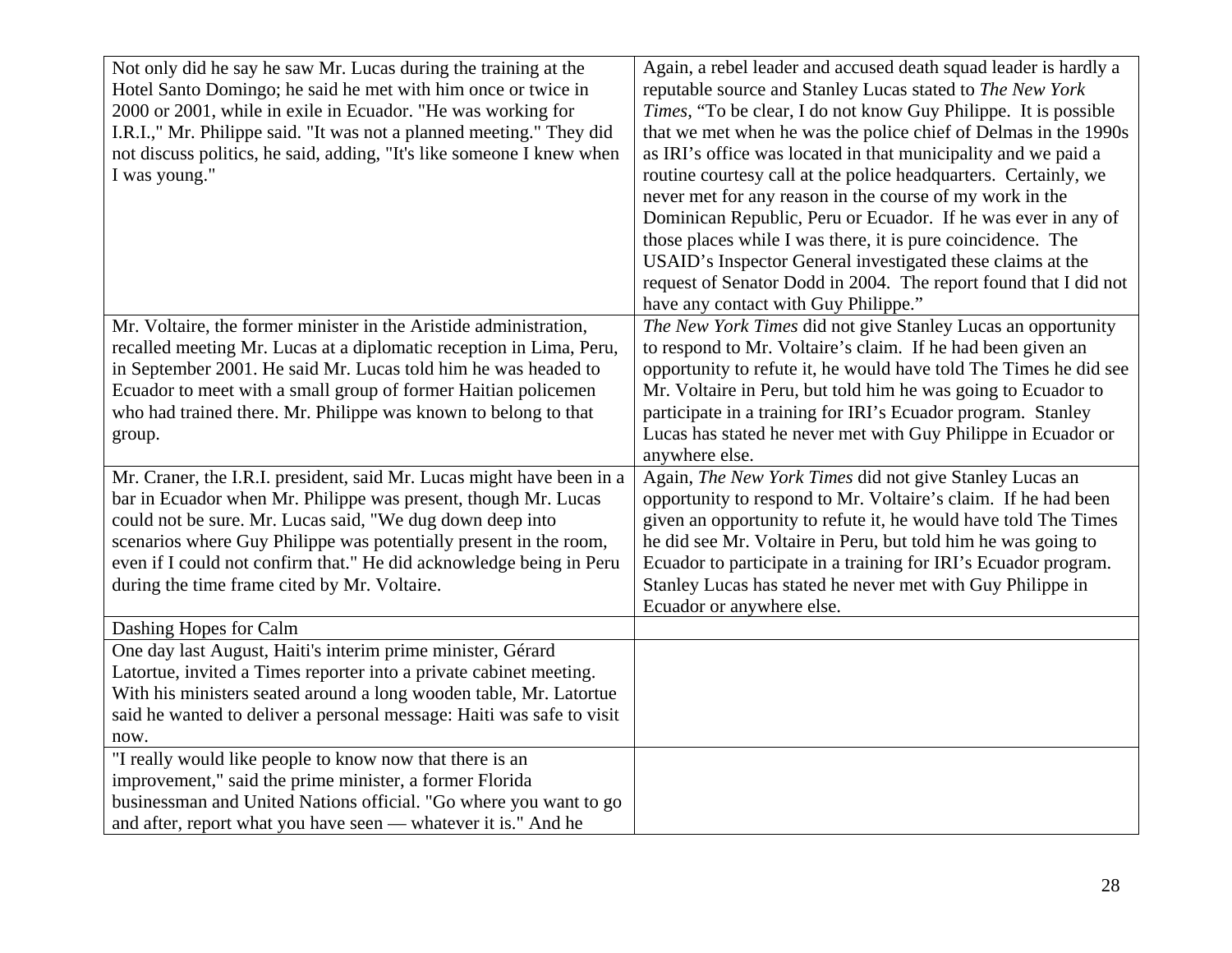| Not only did he say he saw Mr. Lucas during the training at the<br>Hotel Santo Domingo; he said he met with him once or twice in<br>2000 or 2001, while in exile in Ecuador. "He was working for<br>I.R.I.," Mr. Philippe said. "It was not a planned meeting." They did<br>not discuss politics, he said, adding, "It's like someone I knew when<br>I was young."                               | Again, a rebel leader and accused death squad leader is hardly a<br>reputable source and Stanley Lucas stated to The New York<br>Times, "To be clear, I do not know Guy Philippe. It is possible<br>that we met when he was the police chief of Delmas in the 1990s<br>as IRI's office was located in that municipality and we paid a<br>routine courtesy call at the police headquarters. Certainly, we<br>never met for any reason in the course of my work in the<br>Dominican Republic, Peru or Ecuador. If he was ever in any of<br>those places while I was there, it is pure coincidence. The<br>USAID's Inspector General investigated these claims at the<br>request of Senator Dodd in 2004. The report found that I did not |
|--------------------------------------------------------------------------------------------------------------------------------------------------------------------------------------------------------------------------------------------------------------------------------------------------------------------------------------------------------------------------------------------------|----------------------------------------------------------------------------------------------------------------------------------------------------------------------------------------------------------------------------------------------------------------------------------------------------------------------------------------------------------------------------------------------------------------------------------------------------------------------------------------------------------------------------------------------------------------------------------------------------------------------------------------------------------------------------------------------------------------------------------------|
|                                                                                                                                                                                                                                                                                                                                                                                                  | have any contact with Guy Philippe."                                                                                                                                                                                                                                                                                                                                                                                                                                                                                                                                                                                                                                                                                                   |
| Mr. Voltaire, the former minister in the Aristide administration,<br>recalled meeting Mr. Lucas at a diplomatic reception in Lima, Peru,<br>in September 2001. He said Mr. Lucas told him he was headed to<br>Ecuador to meet with a small group of former Haitian policemen<br>who had trained there. Mr. Philippe was known to belong to that<br>group.                                        | The New York Times did not give Stanley Lucas an opportunity<br>to respond to Mr. Voltaire's claim. If he had been given an<br>opportunity to refute it, he would have told The Times he did see<br>Mr. Voltaire in Peru, but told him he was going to Ecuador to<br>participate in a training for IRI's Ecuador program. Stanley<br>Lucas has stated he never met with Guy Philippe in Ecuador or<br>anywhere else.                                                                                                                                                                                                                                                                                                                   |
| Mr. Craner, the I.R.I. president, said Mr. Lucas might have been in a<br>bar in Ecuador when Mr. Philippe was present, though Mr. Lucas<br>could not be sure. Mr. Lucas said, "We dug down deep into<br>scenarios where Guy Philippe was potentially present in the room,<br>even if I could not confirm that." He did acknowledge being in Peru<br>during the time frame cited by Mr. Voltaire. | Again, The New York Times did not give Stanley Lucas an<br>opportunity to respond to Mr. Voltaire's claim. If he had been<br>given an opportunity to refute it, he would have told The Times<br>he did see Mr. Voltaire in Peru, but told him he was going to<br>Ecuador to participate in a training for IRI's Ecuador program.<br>Stanley Lucas has stated he never met with Guy Philippe in<br>Ecuador or anywhere else.                                                                                                                                                                                                                                                                                                            |
| Dashing Hopes for Calm                                                                                                                                                                                                                                                                                                                                                                           |                                                                                                                                                                                                                                                                                                                                                                                                                                                                                                                                                                                                                                                                                                                                        |
| One day last August, Haiti's interim prime minister, Gérard<br>Latortue, invited a Times reporter into a private cabinet meeting.<br>With his ministers seated around a long wooden table, Mr. Latortue<br>said he wanted to deliver a personal message: Haiti was safe to visit<br>now.                                                                                                         |                                                                                                                                                                                                                                                                                                                                                                                                                                                                                                                                                                                                                                                                                                                                        |
| "I really would like people to know now that there is an<br>improvement," said the prime minister, a former Florida<br>businessman and United Nations official. "Go where you want to go<br>and after, report what you have seen - whatever it is." And he                                                                                                                                       |                                                                                                                                                                                                                                                                                                                                                                                                                                                                                                                                                                                                                                                                                                                                        |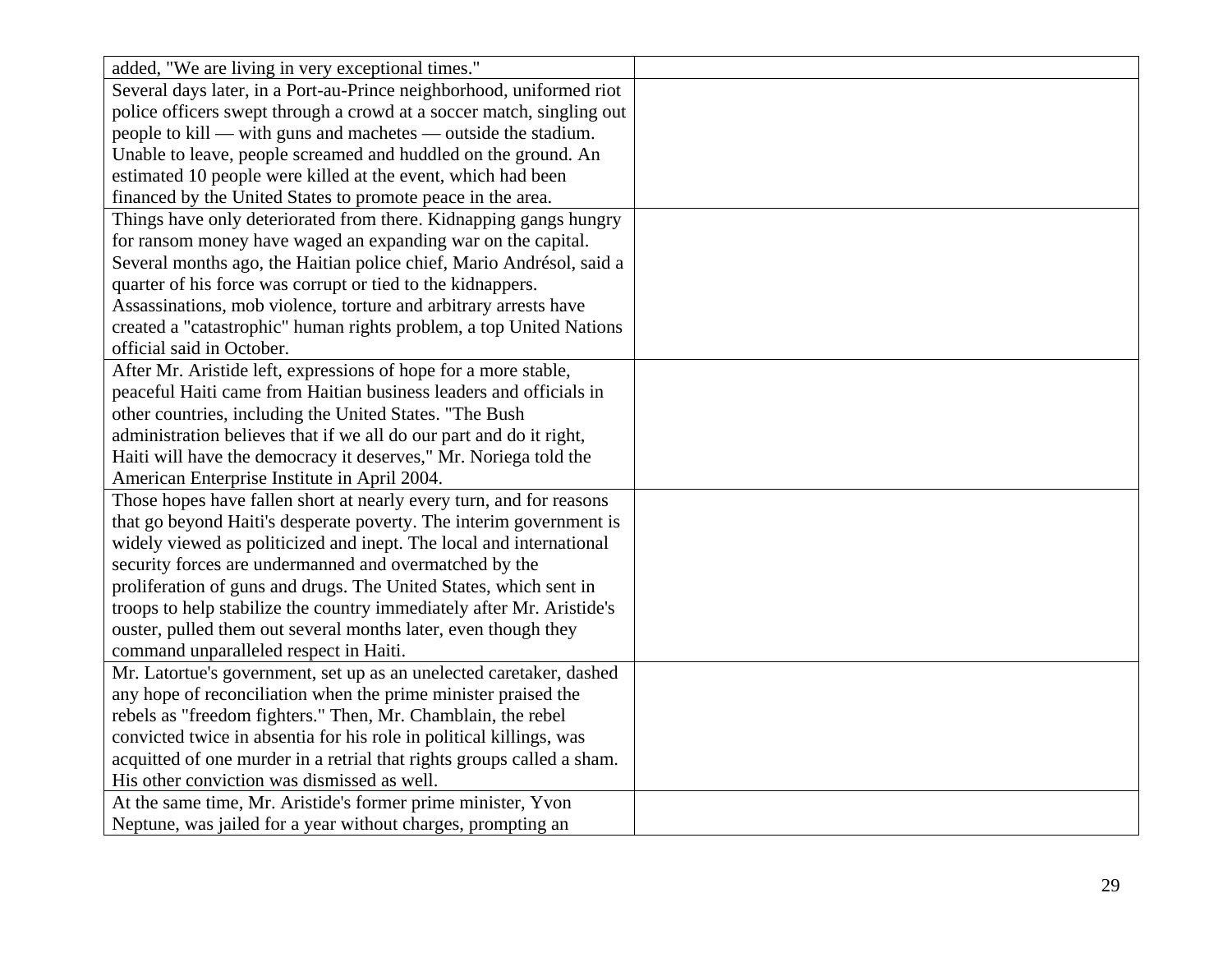| added, "We are living in very exceptional times."                      |  |
|------------------------------------------------------------------------|--|
| Several days later, in a Port-au-Prince neighborhood, uniformed riot   |  |
| police officers swept through a crowd at a soccer match, singling out  |  |
| people to kill — with guns and machetes — outside the stadium.         |  |
| Unable to leave, people screamed and huddled on the ground. An         |  |
| estimated 10 people were killed at the event, which had been           |  |
| financed by the United States to promote peace in the area.            |  |
| Things have only deteriorated from there. Kidnapping gangs hungry      |  |
| for ransom money have waged an expanding war on the capital.           |  |
| Several months ago, the Haitian police chief, Mario Andrésol, said a   |  |
| quarter of his force was corrupt or tied to the kidnappers.            |  |
| Assassinations, mob violence, torture and arbitrary arrests have       |  |
| created a "catastrophic" human rights problem, a top United Nations    |  |
| official said in October.                                              |  |
| After Mr. Aristide left, expressions of hope for a more stable,        |  |
| peaceful Haiti came from Haitian business leaders and officials in     |  |
| other countries, including the United States. "The Bush                |  |
| administration believes that if we all do our part and do it right,    |  |
| Haiti will have the democracy it deserves," Mr. Noriega told the       |  |
| American Enterprise Institute in April 2004.                           |  |
| Those hopes have fallen short at nearly every turn, and for reasons    |  |
| that go beyond Haiti's desperate poverty. The interim government is    |  |
| widely viewed as politicized and inept. The local and international    |  |
| security forces are undermanned and overmatched by the                 |  |
| proliferation of guns and drugs. The United States, which sent in      |  |
| troops to help stabilize the country immediately after Mr. Aristide's  |  |
| ouster, pulled them out several months later, even though they         |  |
| command unparalleled respect in Haiti.                                 |  |
| Mr. Latortue's government, set up as an unelected caretaker, dashed    |  |
| any hope of reconciliation when the prime minister praised the         |  |
| rebels as "freedom fighters." Then, Mr. Chamblain, the rebel           |  |
| convicted twice in absentia for his role in political killings, was    |  |
| acquitted of one murder in a retrial that rights groups called a sham. |  |
| His other conviction was dismissed as well.                            |  |
| At the same time, Mr. Aristide's former prime minister, Yvon           |  |
| Neptune, was jailed for a year without charges, prompting an           |  |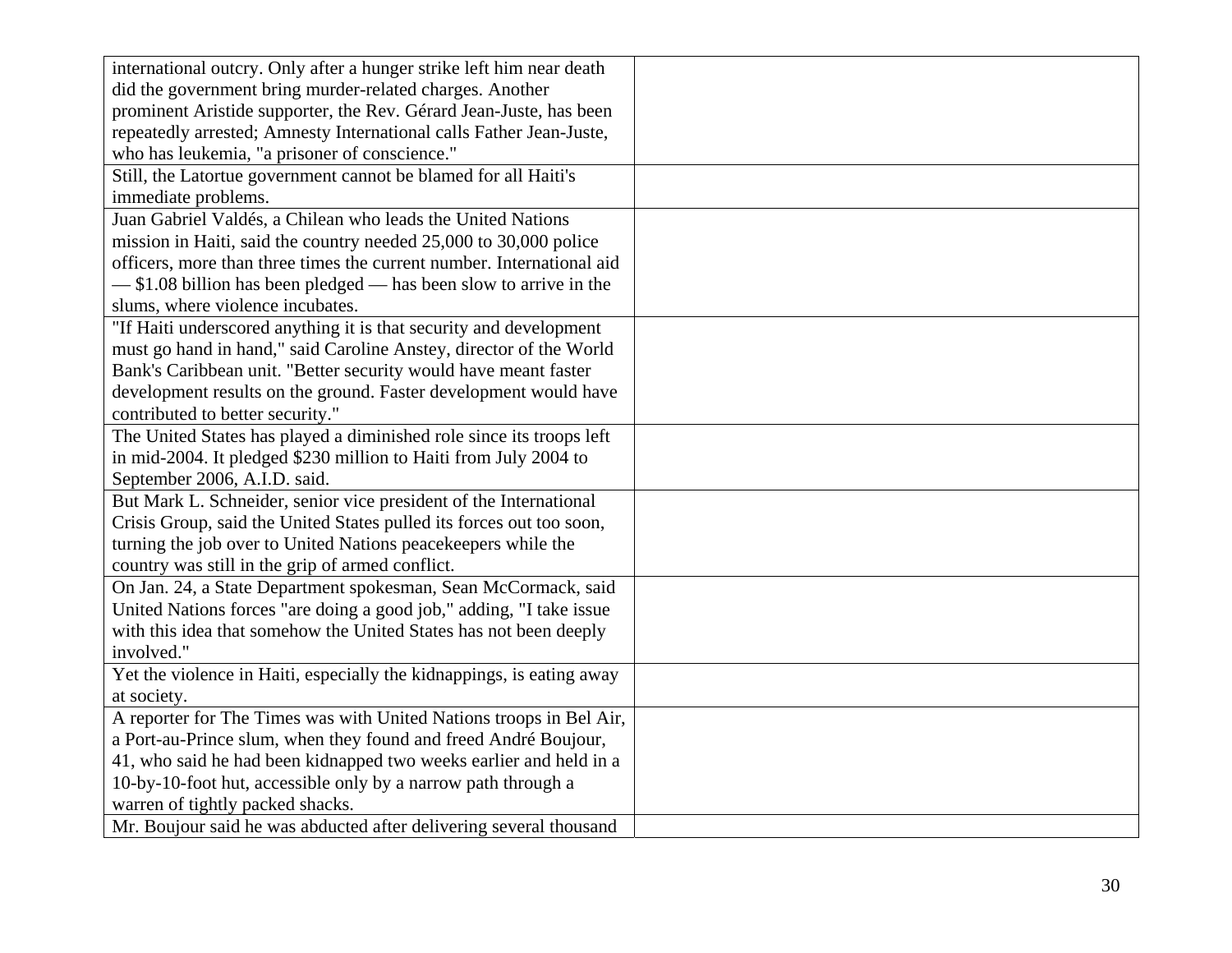| international outcry. Only after a hunger strike left him near death   |  |
|------------------------------------------------------------------------|--|
| did the government bring murder-related charges. Another               |  |
| prominent Aristide supporter, the Rev. Gérard Jean-Juste, has been     |  |
| repeatedly arrested; Amnesty International calls Father Jean-Juste,    |  |
| who has leukemia, "a prisoner of conscience."                          |  |
| Still, the Latortue government cannot be blamed for all Haiti's        |  |
| immediate problems.                                                    |  |
| Juan Gabriel Valdés, a Chilean who leads the United Nations            |  |
| mission in Haiti, said the country needed 25,000 to 30,000 police      |  |
| officers, more than three times the current number. International aid  |  |
| $-$ \$1.08 billion has been pledged $-$ has been slow to arrive in the |  |
| slums, where violence incubates.                                       |  |
| "If Haiti underscored anything it is that security and development     |  |
| must go hand in hand," said Caroline Anstey, director of the World     |  |
| Bank's Caribbean unit. "Better security would have meant faster        |  |
| development results on the ground. Faster development would have       |  |
| contributed to better security."                                       |  |
| The United States has played a diminished role since its troops left   |  |
| in mid-2004. It pledged \$230 million to Haiti from July 2004 to       |  |
| September 2006, A.I.D. said.                                           |  |
| But Mark L. Schneider, senior vice president of the International      |  |
| Crisis Group, said the United States pulled its forces out too soon,   |  |
| turning the job over to United Nations peacekeepers while the          |  |
| country was still in the grip of armed conflict.                       |  |
| On Jan. 24, a State Department spokesman, Sean McCormack, said         |  |
| United Nations forces "are doing a good job," adding, "I take issue    |  |
| with this idea that somehow the United States has not been deeply      |  |
| involved."                                                             |  |
| Yet the violence in Haiti, especially the kidnappings, is eating away  |  |
| at society.                                                            |  |
| A reporter for The Times was with United Nations troops in Bel Air,    |  |
| a Port-au-Prince slum, when they found and freed André Boujour,        |  |
| 41, who said he had been kidnapped two weeks earlier and held in a     |  |
| 10-by-10-foot hut, accessible only by a narrow path through a          |  |
| warren of tightly packed shacks.                                       |  |
| Mr. Boujour said he was abducted after delivering several thousand     |  |